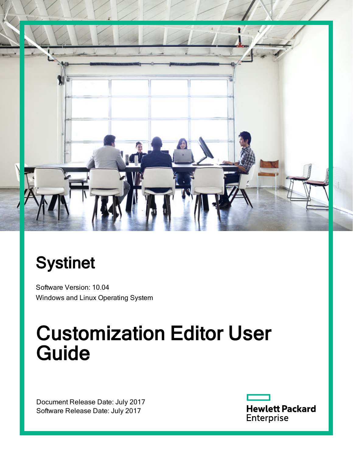

# **Systinet**

Software Version: 10.04 Windows and Linux Operating System

# Customization Editor User Guide

Document Release Date: July 2017 Software Release Date: July 2017

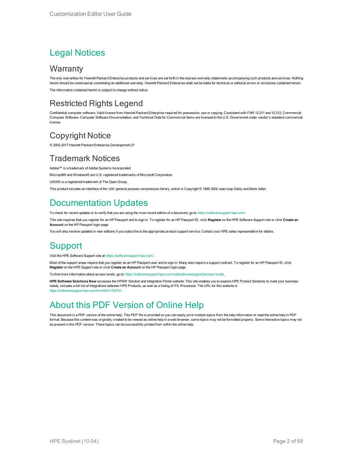#### Legal Notices

#### **Warranty**

The only warranties for Hewlett Packard Enterprise products and services are set forth in the express warranty statements accompanying such products and services. Nothing herein should be construed as constituting an additional warranty. Hewlett Packard Enterprise shall not be liable for technical or editorial errors or omissions contained herein. The information contained herein is subject to change without notice.

#### Restricted Rights Legend

Confidential computer software. Valid license from Hewlett Packard Enterprise required for possession, use or copying. Consistent with FAR 12.211 and 12.212, Commercial Computer Software, Computer Software Documentation, and Technical Data for Commercial Items are licensed to the U.S. Government under vendor's standard commercial license.

#### Copyright Notice

© 2003-2017 Hewlett Packard Enterprise Development LP

#### Trademark Notices

Adobe™ is a trademark of Adobe Systems Incorporated.

Microsoft® and Windows® are U.S. registered trademarks of Microsoft Corporation.

UNIX® is a registered trademark of The Open Group.

This product includes an interface of the 'zlib' general purpose compression library, which is Copyright © 1995-2002 Jean-loup Gailly and Mark Adler.

#### Documentation Updates

To check for recent updates or to verify that you are using the most recent edition of a document, go to: <https://softwaresupport.hpe.com/>.

This site requires that you register for an HP Passport and to sign in. To register for an HP Passport ID, click **Register** on the HPE Software Support site or click **Create an Account** on the HP Passport login page.

You will also receive updated or new editions if you subscribe to the appropriate product support service. Contact your HPE sales representative for details.

#### **Support**

Visit the HPE Software Support site at: <https://softwaresupport.hpe.com/>.

Most of the support areas require that you register as an HP Passport user and to sign in. Many also require a support contract. To register for an HP Passport ID, click **Register** on the HPE Support site or click **Create an Account** on the HP Passport login page.

To find more information about access levels, go to: <https://softwaresupport.hpe.com/web/softwaresupport/access-levels>.

**HPE Software Solutions Now** accesses the HPSW Solution and Integration Portal website. This site enables you to explore HPE Product Solutions to meet your business needs, includes a full list of Integrations between HPE Products, as well as a listing of ITIL Processes. The URL for this website is [https://softwaresupport.hpe.com/km/KM01702731.](https://softwaresupport.hpe.com/km/KM01702731)

#### About this PDF Version of Online Help

This document is a PDF version of the online help. This PDF file is provided so you can easily print multiple topics from the help information or read the online help in PDF format. Because this content was originally created to be viewed as online help in a web browser, some topics may not be formatted properly. Some interactive topics may not be present in this PDF version. Those topics can be successfully printed from within the online help.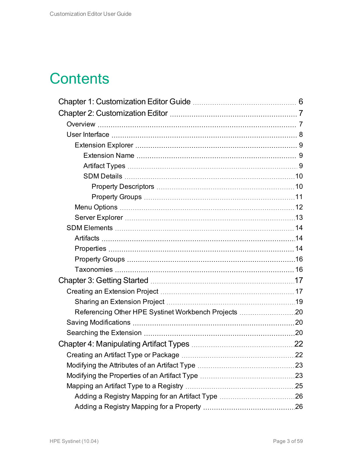## **Contents**

| Referencing Other HPE Systinet Workbench Projects 20 |  |
|------------------------------------------------------|--|
|                                                      |  |
|                                                      |  |
|                                                      |  |
|                                                      |  |
|                                                      |  |
|                                                      |  |
|                                                      |  |
|                                                      |  |
|                                                      |  |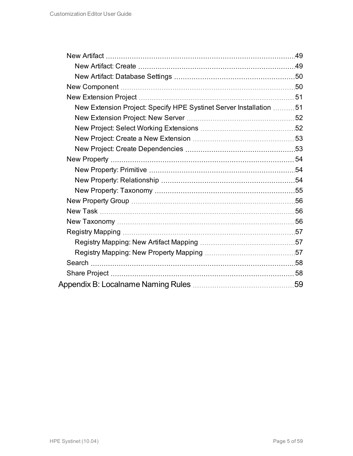| New Extension Project: Specify HPE Systinet Server Installation 51 |  |
|--------------------------------------------------------------------|--|
|                                                                    |  |
|                                                                    |  |
|                                                                    |  |
|                                                                    |  |
|                                                                    |  |
|                                                                    |  |
|                                                                    |  |
|                                                                    |  |
|                                                                    |  |
|                                                                    |  |
|                                                                    |  |
|                                                                    |  |
|                                                                    |  |
|                                                                    |  |
|                                                                    |  |
|                                                                    |  |
|                                                                    |  |
|                                                                    |  |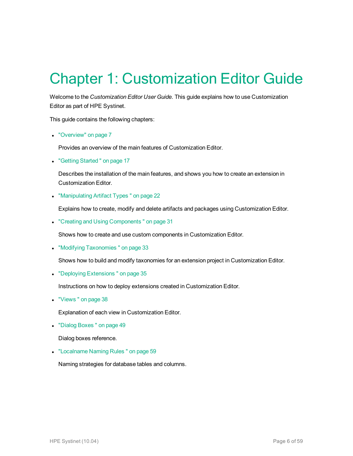## <span id="page-5-0"></span>Chapter 1: Customization Editor Guide

Welcome to the *Customization Editor User Guide*. This guide explains how to use Customization Editor as part of HPE Systinet.

This guide contains the following chapters:

• ["Overview"](#page-6-1) on page 7

Provides an overview of the main features of Customization Editor.

• "Getting Started" on page 17

Describes the installation of the main features, and shows you how to create an extension in Customization Editor.

• ["Manipulating](#page-21-0) Artifact Types" on page 22

Explains how to create, modify and delete artifacts and packages using Customization Editor.

• "Creating and Using Components" on page 31

Shows how to create and use custom components in Customization Editor.

• "Modifying Taxonomies" on page 33

Shows how to build and modify taxonomies for an extension project in Customization Editor.

• "Deploying Extensions" on page 35

Instructions on how to deploy extensions created in Customization Editor.

• "Views" on page 38

Explanation of each view in Customization Editor.

• "Dialog Boxes" on page 49

Dialog boxes reference.

• ["Localname](#page-58-0) Naming Rules " on page 59

Naming strategies for database tables and columns.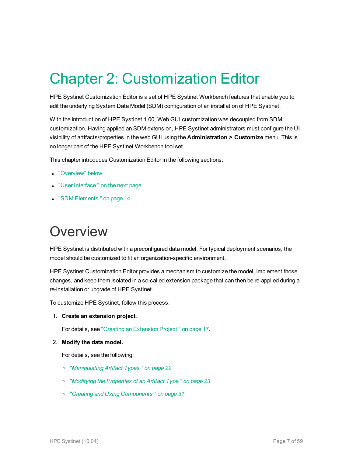## <span id="page-6-0"></span>Chapter 2: Customization Editor

HPE Systinet Customization Editor is a set of HPE Systinet Workbench features that enable you to edit the underlying System Data Model (SDM) configuration of an installation of HPE Systinet.

With the introduction of HPE Systinet 1.00, Web GUI customization was decoupled from SDM customization. Having applied an SDM extension, HPE Systinet administrators must configure the UI visibility of artifacts/properties in the web GUI using the **Administration > Customize** menu. This is no longer part of the HPE Systinet Workbench tool set.

This chapter introduces Customization Editor in the following sections:

- ["Overview"](#page-6-1) below
- "User Interface" on the next page
- <span id="page-6-1"></span>• "SDM [Elements "](#page-13-0) on page 14

### **Overview**

HPE Systinet is distributed with a preconfigured data model. For typical deployment scenarios, the model should be customized to fit an organization-specific environment.

HPE Systinet Customization Editor provides a mechanism to customize the model, implement those changes, and keep them isolated in a so-called extension package that can then be re-applied during a re-installation or upgrade of HPE Systinet.

To customize HPE Systinet, follow this process:

1. **Create an extension project.**

For details, see "Creating an [Extension](#page-16-1) Project " on page 17.

2. **Modify the data model.**

For details, see the following:

- <sup>o</sup> *["Manipulating](#page-21-0) Artifact Types " on page 22*
- <sup>o</sup> *["Modifying](#page-22-1) the Properties of an Artifact Type " on page 23*
- <sup>o</sup> *"Creating and Using [Components "](#page-30-0) on page 31*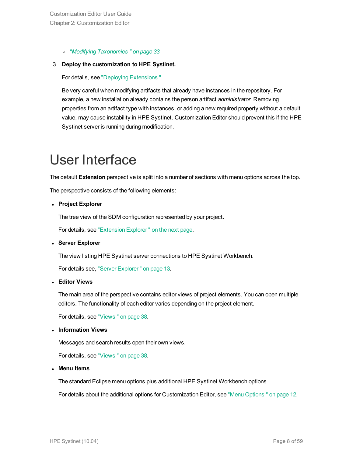<sup>o</sup> *"Modifying [Taxonomies "](#page-32-0) on page 33*

#### 3. **Deploy the customization to HPE Systinet.**

For details, see "Deploying [Extensions ".](#page-34-0)

Be very careful when modifying artifacts that already have instances in the repository. For example, a new installation already contains the person artifact *administrator*. Removing properties from an artifact type with instances, or adding a new required property without a default value, may cause instability in HPE Systinet. Customization Editor should prevent this if the HPE Systinet server is running during modification.

## <span id="page-7-0"></span>User Interface

The default **Extension** perspective is split into a number of sections with menu options across the top.

The perspective consists of the following elements:

<sup>l</sup> **Project Explorer**

The tree view of the SDM configuration represented by your project.

For details, see ["Extension](#page-8-0) Explorer " on the next page.

<sup>l</sup> **Server Explorer**

The view listing HPE Systinet server connections to HPE Systinet Workbench.

For details see, "Server [Explorer "](#page-12-0) on page 13.

<sup>l</sup> **Editor Views**

The main area of the perspective contains editor views of project elements. You can open multiple editors. The functionality of each editor varies depending on the project element.

For details, see ["Views "](#page-37-0) on page 38.

<sup>l</sup> **Information Views**

Messages and search results open their own views.

For details, see ["Views "](#page-37-0) on page 38.

<sup>l</sup> **Menu Items**

The standard Eclipse menu options plus additional HPE Systinet Workbench options.

For details about the additional options for Customization Editor, see "Menu [Options "](#page-11-0) on page 12.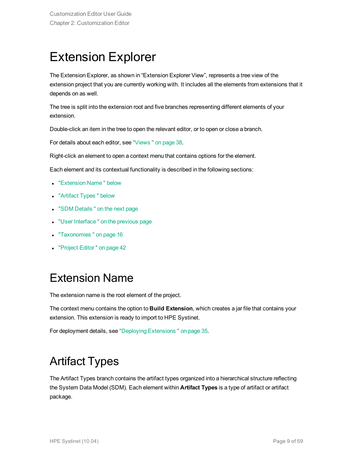### <span id="page-8-0"></span>Extension Explorer

The Extension Explorer, as shown in "Extension Explorer View", represents a tree view of the extension project that you are currently working with. It includes all the elements from extensions that it depends on as well.

The tree is split into the extension root and five branches representing different elements of your extension.

Double-click an item in the tree to open the relevant editor, or to open or close a branch.

For details about each editor, see ["Views "](#page-37-0) on page 38.

Right-click an element to open a context menu that contains options for the element.

Each element and its contextual functionality is described in the following sections:

- ["Extension](#page-8-1) Name" below
- ["Artifact](#page-8-2) Types" below
- "SDM Details" on the next page
- "User Interface" on the previous page
- ["Taxonomies "](#page-15-1) on page 16
- <span id="page-8-1"></span>• ["Project](#page-41-1) Editor" on page 42

### Extension Name

The extension name is the root element of the project.

The context menu contains the option to **Build Extension**, which creates a jar file that contains your extension. This extension is ready to import to HPE Systinet.

<span id="page-8-2"></span>For deployment details, see "Deploying [Extensions "](#page-34-0) on page 35.

### Artifact Types

The Artifact Types branch contains the artifact types organized into a hierarchical structure reflecting the System Data Model (SDM). Each element within **Artifact Types** is a type of artifact or artifact package.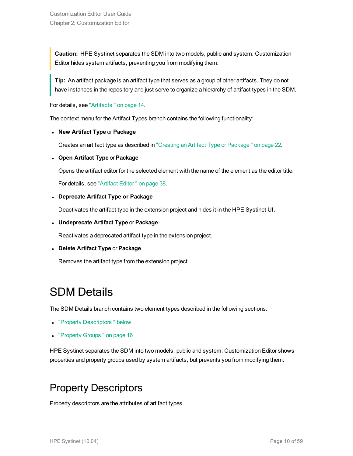**Caution:** HPE Systinet separates the SDM into two models, public and system. Customization Editor hides system artifacts, preventing you from modifying them.

**Tip:** An artifact package is an artifact type that serves as a group of other artifacts. They do not have instances in the repository and just serve to organize a hierarchy of artifact types in the SDM.

For details, see ["Artifacts "](#page-13-1) on page 14.

The context menu for the Artifact Types branch contains the following functionality:

<sup>l</sup> **New Artifact Type** or **Package**

Creates an artifact type as described in "Creating an Artifact Type or [Package "](#page-21-1) on page 22.

#### <sup>l</sup> **Open Artifact Type** or **Package**

Opens the artifact editor for the selected element with the name of the element as the editor title.

For details, see ["Artifact](#page-37-1) Editor " on page 38.

#### <sup>l</sup> **Deprecate Artifact Type or Package**

Deactivates the artifact type in the extension project and hides it in the HPE Systinet UI.

<sup>l</sup> **Undeprecate Artifact Type** or **Package**

Reactivates a deprecated artifact type in the extension project.

#### <sup>l</sup> **Delete Artifact Type** or **Package**

<span id="page-9-0"></span>Removes the artifact type from the extension project.

### SDM Details

The SDM Details branch contains two element types described in the following sections:

- "Property Descriptors" below
- ["Property](#page-15-0) Groups" on page 16

<span id="page-9-1"></span>HPE Systinet separates the SDM into two models, public and system. Customization Editor shows properties and property groups used by system artifacts, but prevents you from modifying them.

### Property Descriptors

Property descriptors are the attributes of artifact types.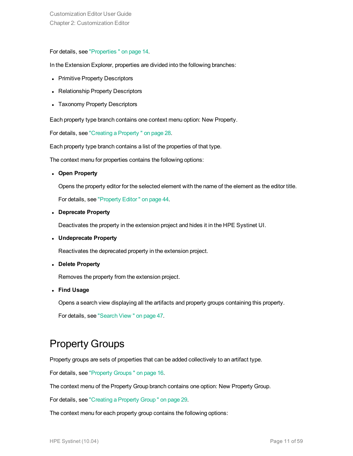#### For details, see ["Properties "](#page-13-2) on page 14.

In the Extension Explorer, properties are divided into the following branches:

- Primitive Property Descriptors
- Relationship Property Descriptors
- Taxonomy Property Descriptors

Each property type branch contains one context menu option: New Property.

For details, see "Creating a [Property "](#page-27-1) on page 28.

Each property type branch contains a list of the properties of that type.

The context menu for properties contains the following options:

<sup>l</sup> **Open Property**

Opens the property editor for the selected element with the name of the element as the editor title.

For details, see ["Property](#page-43-0) Editor " on page 44.

<sup>l</sup> **Deprecate Property**

Deactivates the property in the extension project and hides it in the HPE Systinet UI.

<sup>l</sup> **Undeprecate Property**

Reactivates the deprecated property in the extension project.

<sup>l</sup> **Delete Property**

Removes the property from the extension project.

<sup>l</sup> **Find Usage**

Opens a search view displaying all the artifacts and property groups containing this property.

<span id="page-10-0"></span>For details, see ["Search](#page-46-0) View " on page 47.

#### Property Groups

Property groups are sets of properties that can be added collectively to an artifact type.

For details, see ["Property](#page-15-0) Groups " on page 16.

The context menu of the Property Group branch contains one option: New Property Group.

For details, see ["Creating](#page-28-1) a Property Group " on page 29.

The context menu for each property group contains the following options: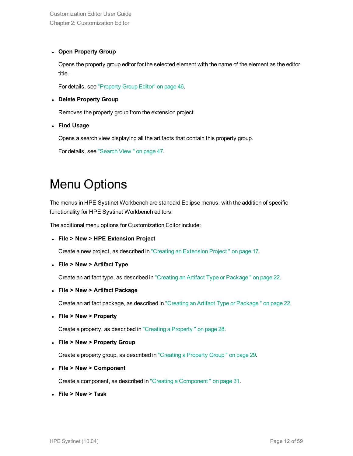#### <sup>l</sup> **Open Property Group**

Opens the property group editor for the selected element with the name of the element as the editor title.

For details, see ["Property](#page-45-0) Group Editor" on page 46.

#### <sup>l</sup> **Delete Property Group**

Removes the property group from the extension project.

<sup>l</sup> **Find Usage**

Opens a search view displaying all the artifacts that contain this property group.

<span id="page-11-0"></span>For details, see ["Search](#page-46-0) View " on page 47.

### Menu Options

The menus in HPE Systinet Workbench are standard Eclipse menus, with the addition of specific functionality for HPE Systinet Workbench editors.

The additional menu options for Customization Editor include:

<sup>l</sup> **File > New > HPE Extension Project**

Create a new project, as described in "Creating an [Extension](#page-16-1) Project " on page 17.

<sup>l</sup> **File > New > Artifact Type**

Create an artifact type, as described in "Creating an Artifact Type or [Package "](#page-21-1) on page 22.

<sup>l</sup> **File > New > Artifact Package**

Create an artifact package, as described in "Creating an Artifact Type or [Package "](#page-21-1) on page 22.

<sup>l</sup> **File > New > Property**

Create a property, as described in "Creating a [Property "](#page-27-1) on page 28.

<sup>l</sup> **File > New > Property Group**

Create a property group, as described in ["Creating](#page-28-1) a Property Group " on page 29.

<sup>l</sup> **File > New > Component**

Create a component, as described in "Creating a [Component "](#page-30-1) on page 31.

<sup>l</sup> **File > New > Task**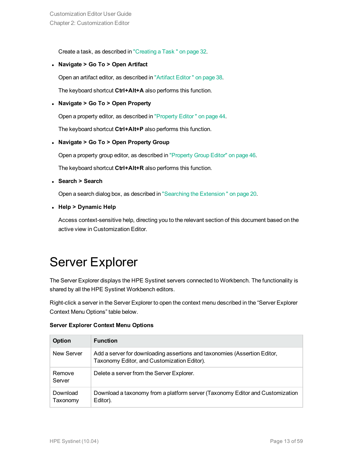Create a task, as described in ["Creating](#page-31-0) a Task " on page 32.

<sup>l</sup> **Navigate > Go To > Open Artifact**

Open an artifact editor, as described in ["Artifact](#page-37-1) Editor " on page 38.

The keyboard shortcut **Ctrl+Alt+A** also performs this function.

#### <sup>l</sup> **Navigate > Go To > Open Property**

Open a property editor, as described in ["Property](#page-43-0) Editor " on page 44.

The keyboard shortcut **Ctrl+Alt+P** also performs this function.

<sup>l</sup> **Navigate > Go To > Open Property Group**

Open a property group editor, as described in ["Property](#page-45-0) Group Editor" on page 46.

The keyboard shortcut **Ctrl+Alt+R** also performs this function.

<sup>l</sup> **Search > Search**

Open a search dialog box, as described in "Searching the [Extension "](#page-19-2) on page 20.

<sup>l</sup> **Help > Dynamic Help**

<span id="page-12-0"></span>Access context-sensitive help, directing you to the relevant section of this document based on the active view in Customization Editor.

### Server Explorer

The Server Explorer displays the HPE Systinet servers connected to Workbench. The functionality is shared by all the HPE Systinet Workbench editors.

Right-click a server in the Server Explorer to open the context menu described in the "Server Explorer Context Menu Options" table below.

|  | <b>Server Explorer Context Menu Options</b> |  |  |  |
|--|---------------------------------------------|--|--|--|
|--|---------------------------------------------|--|--|--|

| <b>Option</b>        | <b>Function</b>                                                                                                          |
|----------------------|--------------------------------------------------------------------------------------------------------------------------|
| New Server           | Add a server for downloading assertions and taxonomies (Assertion Editor,<br>Taxonomy Editor, and Customization Editor). |
| Remove<br>Server     | Delete a server from the Server Explorer.                                                                                |
| Download<br>Taxonomy | Download a taxonomy from a platform server (Taxonomy Editor and Customization<br>Editor).                                |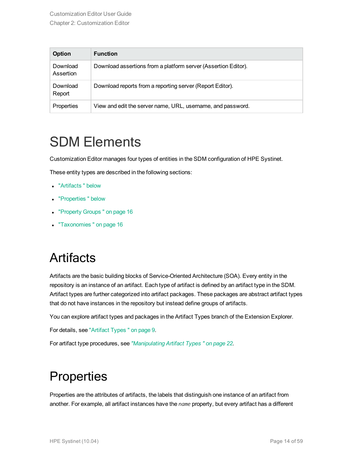| <b>Option</b>         | <b>Function</b>                                                |
|-----------------------|----------------------------------------------------------------|
| Download<br>Assertion | Download assertions from a platform server (Assertion Editor). |
| Download<br>Report    | Download reports from a reporting server (Report Editor).      |
| Properties            | View and edit the server name, URL, username, and password.    |

### <span id="page-13-0"></span>SDM Elements

Customization Editor manages four types of entities in the SDM configuration of HPE Systinet.

These entity types are described in the following sections:

- ["Artifacts "](#page-13-1) below
- ["Properties "](#page-13-2) below
- ["Property](#page-15-0) Groups" on page 16
- <span id="page-13-1"></span>- ["Taxonomies "](#page-15-1) on page 16

### **Artifacts**

Artifacts are the basic building blocks of Service-Oriented Architecture (SOA). Every entity in the repository is an instance of an artifact. Each type of artifact is defined by an artifact type in the SDM. Artifact types are further categorized into artifact packages. These packages are abstract artifact types that do not have instances in the repository but instead define groups of artifacts.

You can explore artifact types and packages in the Artifact Types branch of the Extension Explorer.

For details, see ["Artifact](#page-8-2) Types " on page 9.

<span id="page-13-2"></span>For artifact type procedures, see *["Manipulating](#page-21-0) Artifact Types " on page 22*.

### **Properties**

Properties are the attributes of artifacts, the labels that distinguish one instance of an artifact from another. For example, all artifact instances have the *name* property, but every artifact has a different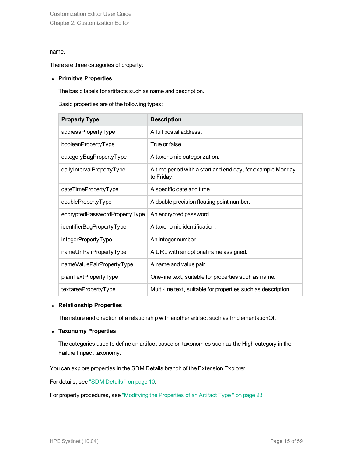#### name.

There are three categories of property:

#### <sup>l</sup> **Primitive Properties**

The basic labels for artifacts such as name and description.

Basic properties are of the following types:

| <b>Property Type</b>          | <b>Description</b>                                                       |
|-------------------------------|--------------------------------------------------------------------------|
| addressPropertyType           | A full postal address.                                                   |
| booleanPropertyType           | True or false.                                                           |
| categoryBagPropertyType       | A taxonomic categorization.                                              |
| dailyIntervalPropertyType     | A time period with a start and end day, for example Monday<br>to Friday. |
| dateTimePropertyType          | A specific date and time.                                                |
| doublePropertyType            | A double precision floating point number.                                |
| encryptedPasswordPropertyType | An encrypted password.                                                   |
| identifierBagPropertyType     | A taxonomic identification.                                              |
| integerPropertyType           | An integer number.                                                       |
| nameUrlPairPropertyType       | A URL with an optional name assigned.                                    |
| nameValuePairPropertyType     | A name and value pair.                                                   |
| plainTextPropertyType         | One-line text, suitable for properties such as name.                     |
| textareaPropertyType          | Multi-line text, suitable for properties such as description.            |

#### <sup>l</sup> **Relationship Properties**

The nature and direction of a relationship with another artifact such as ImplementationOf.

#### <sup>l</sup> **Taxonomy Properties**

The categories used to define an artifact based on taxonomies such as the High category in the Failure Impact taxonomy.

You can explore properties in the SDM Details branch of the Extension Explorer.

For details, see "SDM [Details "](#page-9-0) on page 10.

For property procedures, see ["Modifying](#page-22-1) the Properties of an Artifact Type " on page 23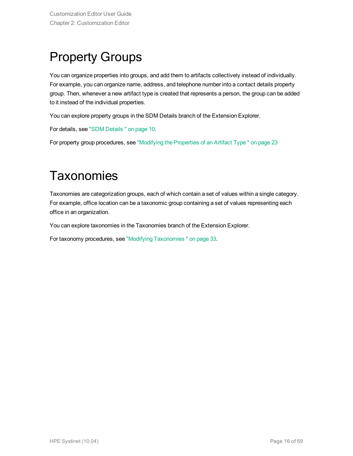## <span id="page-15-0"></span>Property Groups

You can organize properties into groups, and add them to artifacts collectively instead of individually. For example, you can organize name, address, and telephone number into a contact details property group. Then, whenever a new artifact type is created that represents a person, the group can be added to it instead of the individual properties.

You can explore property groups in the SDM Details branch of the Extension Explorer.

For details, see "SDM [Details "](#page-9-0) on page 10.

<span id="page-15-1"></span>For property group procedures, see ["Modifying](#page-22-1) the Properties of an Artifact Type " on page 23

### **Taxonomies**

Taxonomies are categorization groups, each of which contain a set of values within a single category. For example, office location can be a taxonomic group containing a set of values representing each office in an organization.

You can explore taxonomies in the Taxonomies branch of the Extension Explorer.

For taxonomy procedures, see "Modifying [Taxonomies "](#page-32-0) on page 33.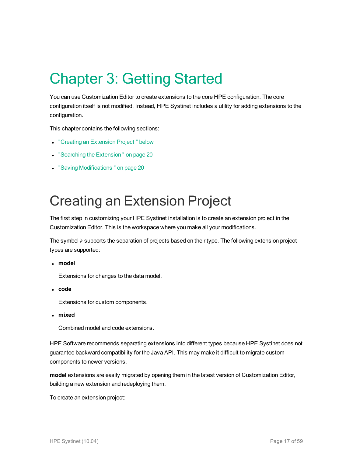# <span id="page-16-0"></span>Chapter 3: Getting Started

You can use Customization Editor to create extensions to the core HPE configuration. The core configuration itself is not modified. Instead, HPE Systinet includes a utility for adding extensions to the configuration.

This chapter contains the following sections:

- "Creating an [Extension](#page-16-1) Project" below
- "Searching the Extension" on page 20
- <span id="page-16-1"></span>• "Saving Modifications" on page 20

## Creating an Extension Project

The first step in customizing your HPE Systinet installation is to create an extension project in the Customization Editor. This is the workspace where you make all your modifications.

The symbol ≽ supports the separation of projects based on their type. The following extension project types are supported:

<sup>l</sup> **model**

Extensions for changes to the data model.

<sup>l</sup> **code**

Extensions for custom components.

<sup>l</sup> **mixed**

Combined model and code extensions.

HPE Software recommends separating extensions into different types because HPE Systinet does not guarantee backward compatibility for the Java API. This may make it difficult to migrate custom components to newer versions.

**model** extensions are easily migrated by opening them in the latest version of Customization Editor, building a new extension and redeploying them.

To create an extension project: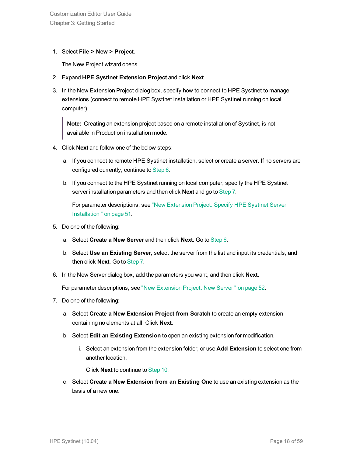#### 1. Select **File > New > Project**.

The New Project wizard opens.

- 2. Expand **HPE Systinet Extension Project** and click **Next**.
- 3. In the New Extension Project dialog box, specify how to connect to HPE Systinet to manage extensions (connect to remote HPE Systinet installation or HPE Systinet running on local computer)

**Note:** Creating an extension project based on a remote installation of Systinet, is not available in Production installation mode.

- 4. Click **Next** and follow one of the below steps:
	- a. If you connect to remote HPE Systinet installation, select or create a server. If no servers are configured currently, continue to [Step](#page-17-0) 6.
	- b. If you connect to the HPE Systinet running on local computer, specify the HPE Systinet server installation parameters and then click **Next** and go to [Step](#page-17-1) 7.

For parameter descriptions, see "New [Extension](#page-50-1) Project: Specify HPE Systinet Server [Installation "](#page-50-1) on page 51.

- 5. Do one of the following:
	- a. Select **Create a New Server** and then click **Next**. Go to [Step](#page-17-0) 6.
	- b. Select **Use an Existing Server**, select the server from the list and input its credentials, and then click **Next**. Go to [Step](#page-17-1) 7.
- <span id="page-17-0"></span>6. In the New Server dialog box, add the parameters you want, and then click **Next**.

<span id="page-17-1"></span>For parameter descriptions, see "New [Extension](#page-51-0) Project: New Server " on page 52.

- 7. Do one of the following:
	- a. Select **Create a New Extension Project from Scratch** to create an empty extension containing no elements at all. Click **Next**.
	- b. Select **Edit an Existing Extension** to open an existing extension for modification.
		- i. Select an extension from the extension folder, or use **Add Extension** to select one from another location.

Click **Next** to continue to [Step](#page-18-1) 10.

c. Select **Create a New Extension from an Existing One** to use an existing extension as the basis of a new one.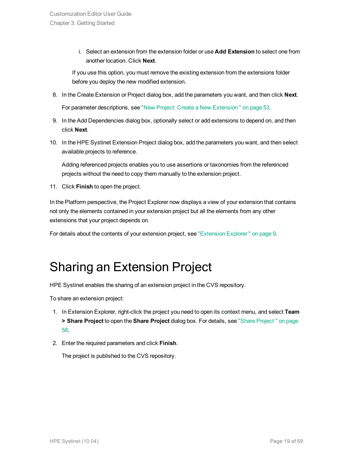i. Select an extension from the extension folder or use **Add Extension** to select one from another location. Click **Next**.

If you use this option, you must remove the existing extension from the extensions folder before you deploy the new modified extension.

8. In the Create Extension or Project dialog box, add the parameters you want, and then click **Next**.

For parameter descriptions, see "New Project: Create a New [Extension "](#page-52-0) on page 53.

- 9. In the Add Dependencies dialog box, optionally select or add extensions to depend on, and then click **Next**.
- <span id="page-18-1"></span>10. In the HPE Systinet Extension Project dialog box, add the parameters you want, and then select available projects to reference.

Adding referenced projects enables you to use assertions or taxonomies from the referenced projects without the need to copy them manually to the extension project.

11. Click **Finish** to open the project.

In the Platform perspective, the Project Explorer now displays a view of your extension that contains not only the elements contained in your extension project but all the elements from any other extensions that your project depends on.

<span id="page-18-0"></span>For details about the contents of your extension project, see ["Extension](#page-8-0) Explorer" on page 9.

## Sharing an Extension Project

HPE Systinet enables the sharing of an extension project in the CVS repository.

To share an extension project:

- 1. In Extension Explorer, right-click the project you need to open its context menu, and select **Team > Share Project** to open the **Share Project** dialog box. For details, see "Share [Project "](#page-57-1) on page [58.](#page-57-1)
- 2. Enter the required parameters and click **Finish**.

The project is published to the CVS repository.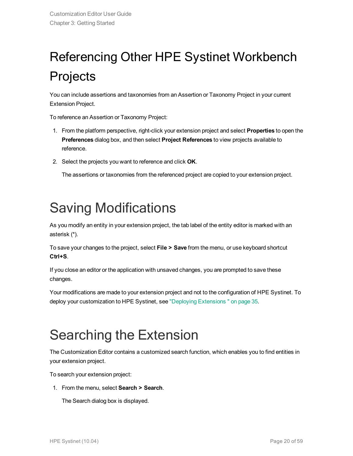# <span id="page-19-0"></span>Referencing Other HPE Systinet Workbench Projects

You can include assertions and taxonomies from an Assertion or Taxonomy Project in your current Extension Project.

To reference an Assertion or Taxonomy Project:

- 1. From the platform perspective, right-click your extension project and select **Properties** to open the **Preferences** dialog box, and then select **Project References** to view projects available to reference.
- 2. Select the projects you want to reference and click **OK**.

The assertions or taxonomies from the referenced project are copied to your extension project.

## <span id="page-19-1"></span>Saving Modifications

As you modify an entity in your extension project, the tab label of the entity editor is marked with an asterisk (\*).

To save your changes to the project, select **File > Save** from the menu, or use keyboard shortcut **Ctrl+S**.

If you close an editor or the application with unsaved changes, you are prompted to save these changes.

Your modifications are made to your extension project and not to the configuration of HPE Systinet. To deploy your customization to HPE Systinet, see "Deploying [Extensions "](#page-34-0) on page 35.

## <span id="page-19-2"></span>Searching the Extension

The Customization Editor contains a customized search function, which enables you to find entities in your extension project.

To search your extension project:

1. From the menu, select **Search > Search**.

The Search dialog box is displayed.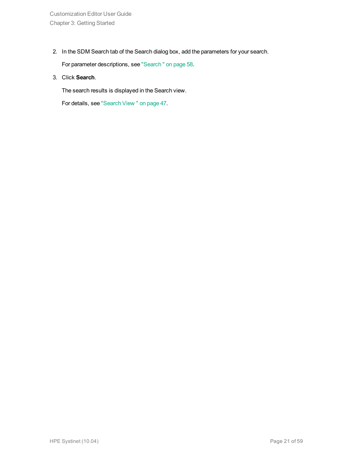2. In the SDM Search tab of the Search dialog box, add the parameters for your search.

For parameter descriptions, see ["Search "](#page-57-0) on page 58.

3. Click **Search**.

The search results is displayed in the Search view.

For details, see ["Search](#page-46-0) View " on page 47.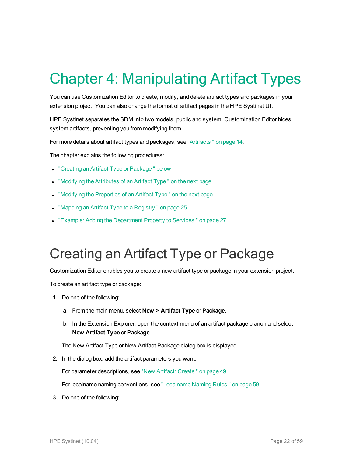# <span id="page-21-0"></span>Chapter 4: Manipulating Artifact Types

You can use Customization Editor to create, modify, and delete artifact types and packages in your extension project. You can also change the format of artifact pages in the HPE Systinet UI.

HPE Systinet separates the SDM into two models, public and system. Customization Editor hides system artifacts, preventing you from modifying them.

For more details about artifact types and packages, see ["Artifacts "](#page-13-1) on page 14.

The chapter explains the following procedures:

- "Creating an Artifact Type or Package" below
- ["Modifying](#page-22-0) the Attributes of an Artifact Type" on the next page
- ["Modifying](#page-22-1) the Properties of an Artifact Type" on the next page
- "Mapping an Artifact Type to a Registry" on page 25
- <span id="page-21-1"></span>• "Example: Adding the [Department](#page-26-0) Property to Services" on page 27

## Creating an Artifact Type or Package

Customization Editor enables you to create a new artifact type or package in your extension project.

To create an artifact type or package:

- 1. Do one of the following:
	- a. From the main menu, select **New > Artifact Type** or **Package**.
	- b. In the Extension Explorer, open the context menu of an artifact package branch and select **New Artifact Type** or **Package**.

The New Artifact Type or New Artifact Package dialog box is displayed.

2. In the dialog box, add the artifact parameters you want.

For parameter descriptions, see "New Artifact: [Create "](#page-48-2) on page 49.

For localname naming conventions, see ["Localname](#page-58-0) Naming Rules " on page 59.

3. Do one of the following: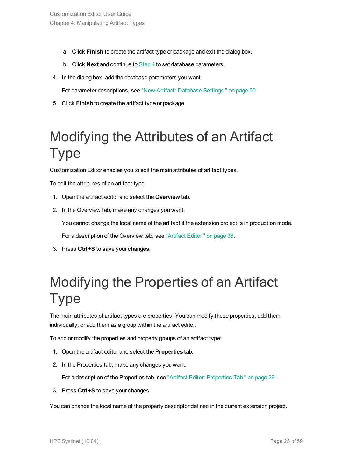- a. Click **Finish** to create the artifact type or package and exit the dialog box.
- <span id="page-22-2"></span>b. Click **Next** and continue to [Step](#page-22-2) 4 to set database parameters.
- 4. In the dialog box, add the database parameters you want.

For parameter descriptions, see "New Artifact: [Database](#page-49-0) Settings " on page 50.

<span id="page-22-0"></span>5. Click **Finish** to create the artifact type or package.

## Modifying the Attributes of an Artifact Type

Customization Editor enables you to edit the main attributes of artifact types.

To edit the attributes of an artifact type:

- 1. Open the artifact editor and select the **Overview** tab.
- 2. In the Overview tab, make any changes you want.

You cannot change the local name of the artifact if the extension project is in production mode.

For a description of the Overview tab, see ["Artifact](#page-37-1) Editor " on page 38.

<span id="page-22-1"></span>3. Press **Ctrl+S** to save your changes.

## Modifying the Properties of an Artifact Type

The main attributes of artifact types are properties. You can modify these properties, add them individually, or add them as a group within the artifact editor.

To add or modify the properties and property groups of an artifact type:

- 1. Open the artifact editor and select the **Properties** tab.
- 2. In the Properties tab, make any changes you want.

For a description of the Properties tab, see "Artifact Editor: [Properties](#page-38-1) Tab " on page 39.

3. Press **Ctrl+S** to save your changes.

You can change the local name of the property descriptor defined in the current extension project.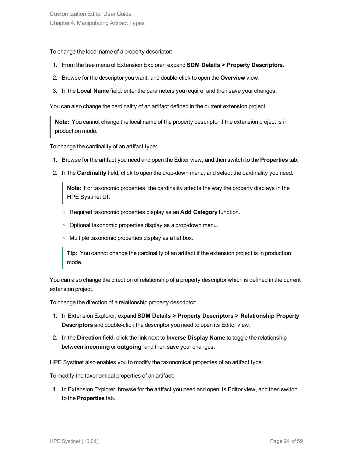To change the local name of a property descriptor:

- 1. From the tree menu of Extension Explorer, expand **SDM Details > Property Descriptors**.
- 2. Browse for the descriptor you want, and double-click to open the **Overview** view.
- 3. In the **Local Name** field, enter the parameters you require, and then save your changes.

You can also change the cardinality of an artifact defined in the current extension project.

**Note:** You cannot change the local name of the property descriptor if the extension project is in production mode.

To change the cardinality of an artifact type:

- 1. Browse for the artifact you need and open the Editor view, and then switch to the **Properties** tab.
- 2. In the **Cardinality** field, click to open the drop-down menu, and select the cardinality you need.

**Note:** For taxonomic properties, the cardinality affects the way the property displays in the HPE Systinet UI.

- <sup>o</sup> Required taxonomic properties display as an **Add Category** function.
- <sup>o</sup> Optional taxonomic properties display as a drop-down menu.
- <sup>o</sup> Multiple taxonomic properties display as a list box.

**Tip:** You cannot change the cardinality of an artifact if the extension project is in production mode.

You can also change the direction of relationship of a property descriptor which is defined in the current extension project.

To change the direction of a relationship property descriptor:

- 1. In Extension Explorer, expand **SDM Details > Property Descriptors > Relationship Property Descriptors** and double-click the descriptor you need to open its Editor view.
- 2. In the **Direction** field, click the link next to **Inverse Display Name** to toggle the relationship between **incoming** or **outgoing**, and then save your changes.

HPE Systinet also enables you to modify the taxonomical properties of an artifact type.

To modify the taxonomical properties of an artifact:

1. In Extension Explorer, browse for the artifact you need and open its Editor view, and then switch to the **Properties** tab.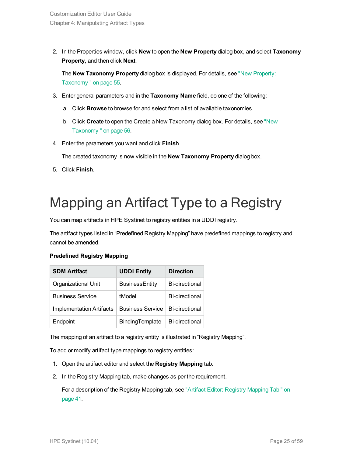2. In the Properties window, click **New** to open the **New Property** dialog box, and select **Taxonomy Property**, and then click **Next**.

The **New Taxonomy Property** dialog box is displayed. For details, see "New [Property:](#page-54-0) [Taxonomy "](#page-54-0) on page 55.

- 3. Enter general parameters and in the **Taxonomy Name** field, do one of the following:
	- a. Click **Browse** to browse for and select from a list of available taxonomies.
	- b. Click **Create** to open the Create a New Taxonomy dialog box. For details, see ["New](#page-55-2) [Taxonomy "](#page-55-2) on page 56.
- 4. Enter the parameters you want and click **Finish**.

The created taxonomy is now visible in the **New Taxonomy Property** dialog box.

<span id="page-24-0"></span>5. Click **Finish**.

## Mapping an Artifact Type to a Registry

You can map artifacts in HPE Systinet to registry entities in a UDDI registry.

The artifact types listed in "Predefined Registry Mapping" have predefined mappings to registry and cannot be amended.

#### **Predefined Registry Mapping**

| <b>SDM Artifact</b>      | <b>UDDI Entity</b>      | <b>Direction</b>      |
|--------------------------|-------------------------|-----------------------|
| Organizational Unit      | <b>BusinessEntity</b>   | <b>Bi-directional</b> |
| <b>Business Service</b>  | tModel                  | <b>Bi-directional</b> |
| Implementation Artifacts | <b>Business Service</b> | <b>Bi-directional</b> |
| Endpoint                 | BindingTemplate         | <b>Bi-directional</b> |

The mapping of an artifact to a registry entity is illustrated in "Registry Mapping".

To add or modify artifact type mappings to registry entities:

- 1. Open the artifact editor and select the **Registry Mapping** tab.
- 2. In the Registry Mapping tab, make changes as per the requirement.

For a description of the Registry Mapping tab, see "Artifact Editor: Registry [Mapping](#page-40-0) Tab " on [page](#page-40-0) 41.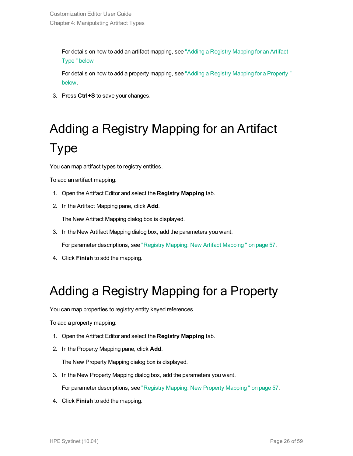For details on how to add an artifact mapping, see "Adding a Registry [Mapping](#page-25-0) for an Artifact [Type "](#page-25-0) below

For details on how to add a property mapping, see "Adding a Registry Mapping for a [Property "](#page-25-1) [below.](#page-25-1)

<span id="page-25-0"></span>3. Press **Ctrl+S** to save your changes.

# Adding a Registry Mapping for an Artifact Type

You can map artifact types to registry entities.

To add an artifact mapping:

- 1. Open the Artifact Editor and select the **Registry Mapping** tab.
- 2. In the Artifact Mapping pane, click **Add**.

The New Artifact Mapping dialog box is displayed.

3. In the New Artifact Mapping dialog box, add the parameters you want.

For parameter descriptions, see "Registry Mapping: New Artifact [Mapping "](#page-56-1) on page 57.

<span id="page-25-1"></span>4. Click **Finish** to add the mapping.

### Adding a Registry Mapping for a Property

You can map properties to registry entity keyed references.

To add a property mapping:

- 1. Open the Artifact Editor and select the **Registry Mapping** tab.
- 2. In the Property Mapping pane, click **Add**.

The New Property Mapping dialog box is displayed.

3. In the New Property Mapping dialog box, add the parameters you want.

For parameter descriptions, see "Registry Mapping: New Property [Mapping "](#page-56-2) on page 57.

4. Click **Finish** to add the mapping.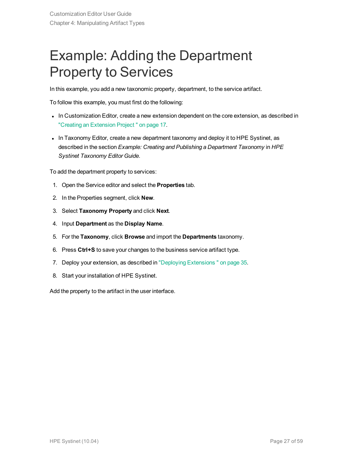## <span id="page-26-0"></span>Example: Adding the Department Property to Services

In this example, you add a new taxonomic property, department, to the service artifact.

To follow this example, you must first do the following:

- In Customization Editor, create a new extension dependent on the core extension, as described in "Creating an [Extension](#page-16-1) Project " on page 17.
- In Taxonomy Editor, create a new department taxonomy and deploy it to HPE Systinet, as described in the section *Example: Creating and Publishing a Department Taxonomy* in *HPE Systinet Taxonomy Editor Guide*.

To add the department property to services:

- 1. Open the Service editor and select the **Properties** tab.
- 2. In the Properties segment, click **New**.
- 3. Select **Taxonomy Property** and click **Next**.
- 4. Input **Department** as the **Display Name**.
- 5. For the **Taxonomy**, click **Browse** and import the **Departments** taxonomy.
- 6. Press **Ctrl+S** to save your changes to the business service artifact type.
- 7. Deploy your extension, as described in "Deploying [Extensions "](#page-34-0) on page 35.
- 8. Start your installation of HPE Systinet.

Add the property to the artifact in the user interface.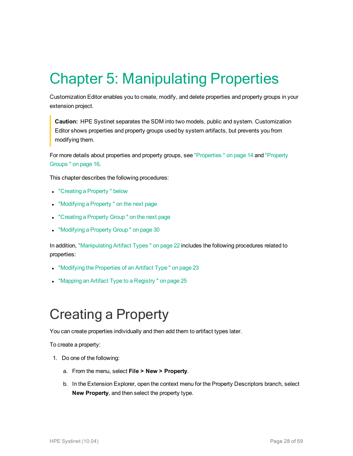# <span id="page-27-0"></span>Chapter 5: Manipulating Properties

Customization Editor enables you to create, modify, and delete properties and property groups in your extension project.

**Caution:** HPE Systinet separates the SDM into two models, public and system. Customization Editor shows properties and property groups used by system artifacts, but prevents you from modifying them.

For more details about properties and property groups, see ["Properties "](#page-13-2) on page 14 and ["Property](#page-15-0) [Groups "](#page-15-0) on page 16.

This chapter describes the following procedures:

- "Creating a Property" below
- ["Modifying](#page-28-0) a Property" on the next page
- ["Creating](#page-28-1) a Property Group" on the next page
- ["Modifying](#page-29-0) a Property Group" on page 30

In addition, ["Manipulating](#page-21-0) Artifact Types " on page 22 includes the following procedures related to properties:

- ["Modifying](#page-22-1) the Properties of an Artifact Type" on page 23
- <span id="page-27-1"></span>• "Mapping an Artifact Type to a Registry" on page 25

## Creating a Property

You can create properties individually and then add them to artifact types later.

To create a property:

- 1. Do one of the following:
	- a. From the menu, select **File > New > Property**.
	- b. In the Extension Explorer, open the context menu for the Property Descriptors branch, select **New Property**, and then select the property type.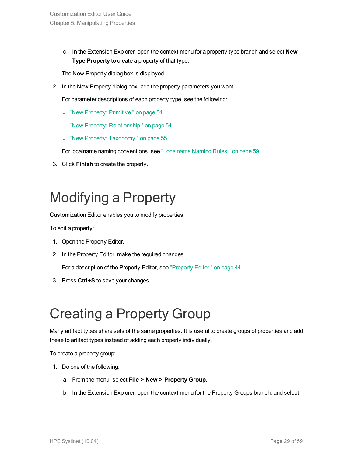c. In the Extension Explorer, open the context menu for a property type branch and select **New Type Property** to create a property of that type.

The New Property dialog box is displayed.

2. In the New Property dialog box, add the property parameters you want.

For parameter descriptions of each property type, see the following:

- <sup>o</sup> "New Property: [Primitive "](#page-53-1) on page 54
- <sup>o</sup> "New Property: [Relationship "](#page-53-2) on page 54
- <sup>o</sup> "New Property: [Taxonomy "](#page-54-0) on page 55

For localname naming conventions, see ["Localname](#page-58-0) Naming Rules " on page 59.

<span id="page-28-0"></span>3. Click **Finish** to create the property.

## Modifying a Property

Customization Editor enables you to modify properties.

To edit a property:

- 1. Open the Property Editor.
- 2. In the Property Editor, make the required changes.

For a description of the Property Editor, see ["Property](#page-43-0) Editor " on page 44.

<span id="page-28-1"></span>3. Press **Ctrl+S** to save your changes.

## Creating a Property Group

Many artifact types share sets of the same properties. It is useful to create groups of properties and add these to artifact types instead of adding each property individually.

To create a property group:

- 1. Do one of the following:
	- a. From the menu, select **File > New > Property Group.**
	- b. In the Extension Explorer, open the context menu for the Property Groups branch, and select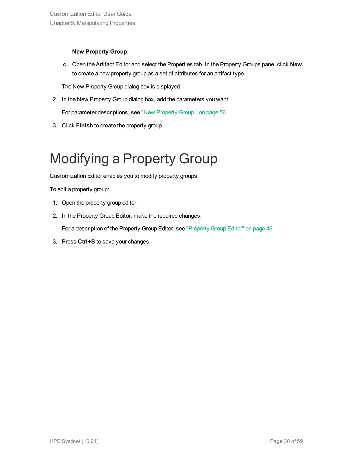#### **New Property Group**.

c. Open the Artifact Editor and select the Properties tab. In the Property Groups pane, click **New** to create a new property group as a set of attributes for an artifact type.

The New Property Group dialog box is displayed.

2. In the New Property Group dialog box, add the parameters you want.

For parameter descriptions, see "New [Property](#page-55-0) Group " on page 56.

<span id="page-29-0"></span>3. Click **Finish** to create the property group.

## Modifying a Property Group

Customization Editor enables you to modify property groups.

To edit a property group:

- 1. Open the property group editor.
- 2. In the Property Group Editor, make the required changes.

For a description of the Property Group Editor, see ["Property](#page-45-0) Group Editor" on page 46.

3. Press **Ctrl+S** to save your changes.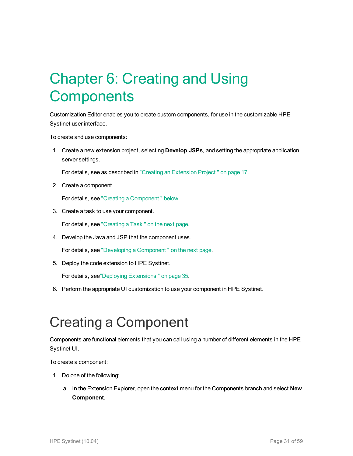# <span id="page-30-0"></span>Chapter 6: Creating and Using **Components**

Customization Editor enables you to create custom components, for use in the customizable HPE Systinet user interface.

To create and use components:

1. Create a new extension project, selecting **Develop JSPs**, and setting the appropriate application server settings.

For details, see as described in "Creating an [Extension](#page-16-1) Project " on page 17.

2. Create a component.

For details, see "Creating a [Component "](#page-30-1) below.

3. Create a task to use your component.

For details, see ["Creating](#page-31-0) a Task " on the next page.

4. Develop the Java and JSP that the component uses.

For details, see "Developing a [Component "](#page-31-1) on the next page.

5. Deploy the code extension to HPE Systinet.

For details, see"Deploying [Extensions "](#page-34-0) on page 35.

<span id="page-30-1"></span>6. Perform the appropriate UI customization to use your component in HPE Systinet.

## Creating a Component

Components are functional elements that you can call using a number of different elements in the HPE Systinet UI.

To create a component:

- 1. Do one of the following:
	- a. In the Extension Explorer, open the context menu for the Components branch and select **New Component**.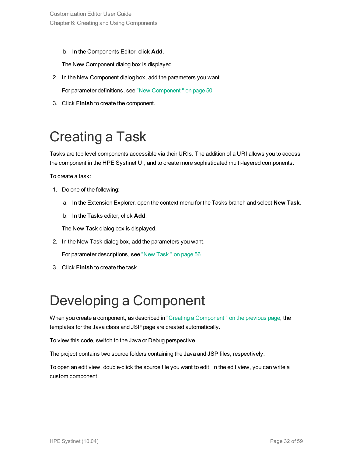b. In the Components Editor, click **Add**.

The New Component dialog box is displayed.

- 2. In the New Component dialog box, add the parameters you want. For parameter definitions, see "New [Component "](#page-49-1) on page 50.
- <span id="page-31-0"></span>3. Click **Finish** to create the component.

## Creating a Task

Tasks are top level components accessible via their URIs. The addition of a URI allows you to access the component in the HPE Systinet UI, and to create more sophisticated multi-layered components.

To create a task:

- 1. Do one of the following:
	- a. In the Extension Explorer, open the context menu for the Tasks branch and select **New Task**.
	- b. In the Tasks editor, click **Add**.

The New Task dialog box is displayed.

2. In the New Task dialog box, add the parameters you want.

For parameter descriptions, see "New [Task "](#page-55-1) on page 56.

<span id="page-31-1"></span>3. Click **Finish** to create the task.

## Developing a Component

When you create a component, as described in "Creating a Component" on the previous page, the templates for the Java class and JSP page are created automatically.

To view this code, switch to the Java or Debug perspective.

The project contains two source folders containing the Java and JSP files, respectively.

To open an edit view, double-click the source file you want to edit. In the edit view, you can write a custom component.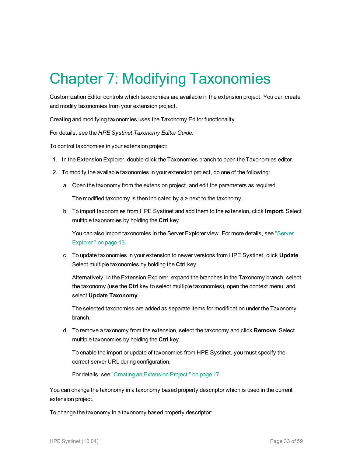# <span id="page-32-0"></span>Chapter 7: Modifying Taxonomies

Customization Editor controls which taxonomies are available in the extension project. You can create and modify taxonomies from your extension project.

Creating and modifying taxonomies uses the Taxonomy Editor functionality.

For details, see the *HPE Systinet Taxonomy Editor Guide*.

To control taxonomies in your extension project:

- 1. In the Extension Explorer, double-click the Taxonomies branch to open the Taxonomies editor.
- 2. To modify the available taxonomies in your extension project, do one of the following:
	- a. Open the taxonomy from the extension project, and edit the parameters as required.

The modified taxonomy is then indicated by a **>** next to the taxonomy.

b. To import taxonomies from HPE Systinet and add them to the extension, click **Import**. Select multiple taxonomies by holding the **Ctrl** key.

You can also import taxonomies in the Server Explorer view. For more details, see ["Server](#page-12-0) [Explorer "](#page-12-0) on page 13.

c. To update taxonomies in your extension to newer versions from HPE Systinet, click **Update**. Select multiple taxonomies by holding the **Ctrl** key.

Alternatively, in the Extension Explorer, expand the branches in the Taxonomy branch, select the taxonomy (use the **Ctrl** key to select multiple taxonomies), open the context menu, and select **Update Taxonomy**.

The selected taxonomies are added as separate items for modification under the Taxonomy branch.

d. To remove a taxonomy from the extension, select the taxonomy and click **Remove**. Select multiple taxonomies by holding the **Ctrl** key.

To enable the import or update of taxonomies from HPE Systinet, you must specify the correct server URL during configuration.

For details, see "Creating an [Extension](#page-16-1) Project " on page 17.

You can change the taxonomy in a taxonomy based property descriptor which is used in the current extension project.

To change the taxonomy in a taxonomy based property descriptor: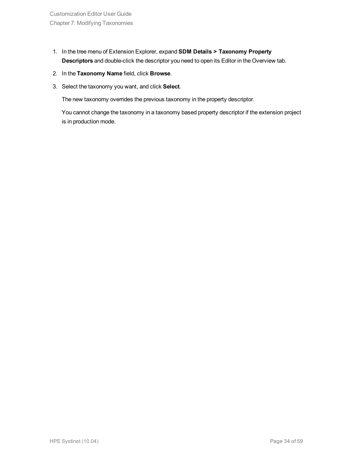- 1. In the tree menu of Extension Explorer, expand **SDM Details > Taxonomy Property Descriptors** and double-click the descriptor you need to open its Editor in the Overview tab.
- 2. In the **Taxonomy Name** field, click **Browse**.
- 3. Select the taxonomy you want, and click **Select**.

The new taxonomy overrides the previous taxonomy in the property descriptor.

You cannot change the taxonomy in a taxonomy based property descriptor if the extension project is in production mode.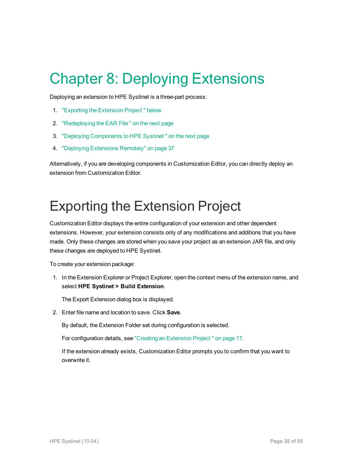# <span id="page-34-0"></span>Chapter 8: Deploying Extensions

Deploying an extension to HPE Systinet is a three-part process:

- 1. ["Exporting](#page-34-1) the Extension Project " below
- 2. ["Redeploying](#page-35-0) the EAR File " on the next page
- 3. "Deploying [Components](#page-35-1) to HPE Systinet " on the next page
- 4. "Deploying [Extensions](#page-36-0) Remotely" on page 37

Alternatively, if you are developing components in Customization Editor, you can directly deploy an extension from Customization Editor.

## <span id="page-34-1"></span>Exporting the Extension Project

Customization Editor displays the entire configuration of your extension and other dependent extensions. However, your extension consists only of any modifications and additions that you have made. Only these changes are stored when you save your project as an extension JAR file, and only these changes are deployed to HPE Systinet.

To create your extension package:

1. In the Extension Explorer or Project Explorer, open the context menu of the extension name, and select **HPE Systinet > Build Extension**.

The Export Extension dialog box is displayed.

2. Enter file name and location to save. Click **Save**.

By default, the Extension Folder set during configuration is selected.

For configuration details, see "Creating an [Extension](#page-16-1) Project " on page 17.

If the extension already exists, Customization Editor prompts you to confirm that you want to overwrite it.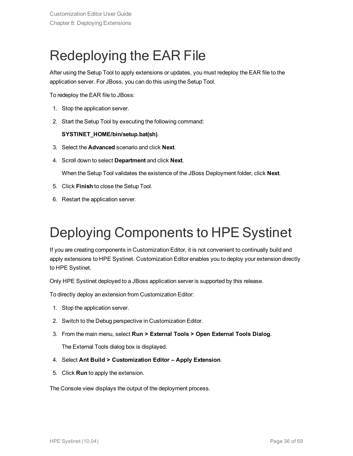## <span id="page-35-0"></span>Redeploying the EAR File

After using the Setup Tool to apply extensions or updates, you must redeploy the EAR file to the application server. For JBoss, you can do this using the Setup Tool.

To redeploy the EAR file to JBoss:

- 1. Stop the application server.
- 2. Start the Setup Tool by executing the following command:

#### **SYSTINET\_HOME/bin/setup.bat(sh)**.

- 3. Select the **Advanced** scenario and click **Next**.
- 4. Scroll down to select **Department** and click **Next**.

When the Setup Tool validates the existence of the JBoss Deployment folder, click **Next**.

- 5. Click **Finish** to close the Setup Tool.
- <span id="page-35-1"></span>6. Restart the application server.

## Deploying Components to HPE Systinet

If you are creating components in Customization Editor, it is not convenient to continually build and apply extensions to HPE Systinet. Customization Editor enables you to deploy your extension directly to HPE Systinet.

Only HPE Systinet deployed to a JBoss application server is supported by this release.

To directly deploy an extension from Customization Editor:

- 1. Stop the application server.
- 2. Switch to the Debug perspective in Customization Editor.
- 3. From the main menu, select **Run > External Tools > Open External Tools Dialog**.

The External Tools dialog box is displayed.

- 4. Select **Ant Build > Customization Editor – Apply Extension**.
- 5. Click **Run** to apply the extension.

The Console view displays the output of the deployment process.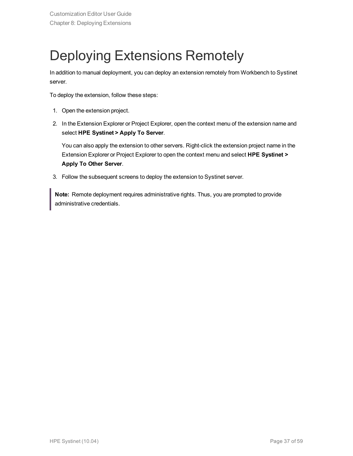## <span id="page-36-0"></span>Deploying Extensions Remotely

In addition to manual deployment, you can deploy an extension remotely from Workbench to Systinet server.

To deploy the extension, follow these steps:

- 1. Open the extension project.
- 2. In the Extension Explorer or Project Explorer, open the context menu of the extension name and select **HPE Systinet > Apply To Server**.

You can also apply the extension to other servers. Right-click the extension project name in the Extension Explorer or Project Explorer to open the context menu and select **HPE Systinet > Apply To Other Server**.

3. Follow the subsequent screens to deploy the extension to Systinet server.

**Note:** Remote deployment requires administrative rights. Thus, you are prompted to provide administrative credentials.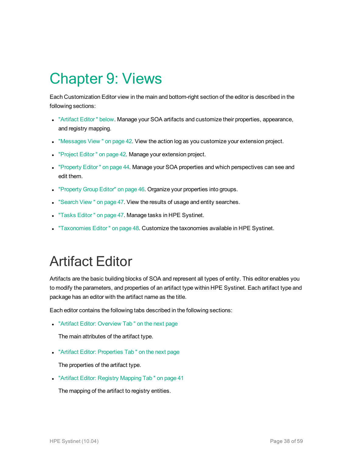## <span id="page-37-0"></span>Chapter 9: Views

Each Customization Editor view in the main and bottom-right section of the editor is described in the following sections:

- <sup>l</sup> ["Artifact](#page-37-1) Editor " below. Manage your SOA artifacts and customize their properties, appearance, and registry mapping.
- . ["Messages](#page-41-0) View " on page 42. View the action log as you customize your extension project.
- ["Project](#page-41-1) Editor" on page 42. Manage your extension project.
- ["Property](#page-43-0) Editor" on page 44. Manage your SOA properties and which perspectives can see and edit them.
- ["Property](#page-45-0) Group Editor" on page 46. Organize your properties into groups.
- ["Search](#page-46-0) View " on page 47. View the results of usage and entity searches.
- "Tasks Editor" on page 47. Manage tasks in HPE Systinet.
- <span id="page-37-1"></span><sup>l</sup> ["Taxonomies](#page-47-0) Editor " on page 48. Customize the taxonomies available in HPE Systinet.

## Artifact Editor

Artifacts are the basic building blocks of SOA and represent all types of entity. This editor enables you to modify the parameters, and properties of an artifact type within HPE Systinet. Each artifact type and package has an editor with the artifact name as the title.

Each editor contains the following tabs described in the following sections:

• "Artifact Editor: [Overview](#page-38-0) Tab" on the next page

The main attributes of the artifact type.

• "Artifact Editor: [Properties](#page-38-1) Tab" on the next page

The properties of the artifact type.

• "Artifact Editor: Registry [Mapping](#page-40-0) Tab" on page 41

The mapping of the artifact to registry entities.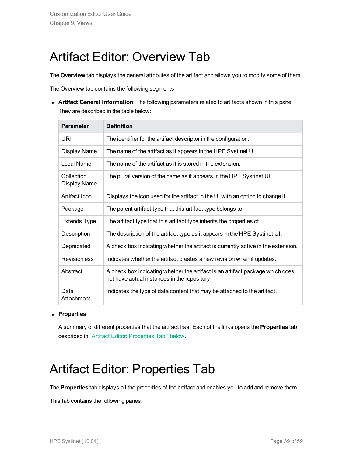### <span id="page-38-0"></span>Artifact Editor: Overview Tab

The **Overview** tab displays the general attributes of the artifact and allows you to modify some of them.

The Overview tab contains the following segments:

**Artifact General Information**. The following parameters related to artifacts shown in this pane. They are described in the table below:

| <b>Parameter</b>                  | <b>Definition</b>                                                                                                             |
|-----------------------------------|-------------------------------------------------------------------------------------------------------------------------------|
| URI                               | The identifier for the artifact descriptor in the configuration.                                                              |
| Display Name                      | The name of the artifact as it appears in the HPE Systinet UI.                                                                |
| Local Name                        | The name of the artifact as it is stored in the extension.                                                                    |
| Collection<br><b>Display Name</b> | The plural version of the name as it appears in the HPE Systinet UI.                                                          |
| Artifact Icon                     | Displays the icon used for the artifact in the UI with an option to change it.                                                |
| Package                           | The parent artifact type that this artifact type belongs to.                                                                  |
| <b>Extends Type</b>               | The artifact type that this artifact type inherits the properties of.                                                         |
| Description                       | The description of the artifact type as it appears in the HPE Systinet UI.                                                    |
| Deprecated                        | A check box indicating whether the artifact is currently active in the extension.                                             |
| <b>Revisionless</b>               | Indicates whether the artifact creates a new revision when it updates.                                                        |
| Abstract                          | A check box indicating whether the artifact is an artifact package which does<br>not have actual instances in the repository. |
| Data<br>Attachment                | Indicates the type of data content that may be attached to the artifact.                                                      |

#### <sup>l</sup> **Properties**

<span id="page-38-1"></span>A summary of different properties that the artifact has. Each of the links opens the **Properties** tab described in "Artifact Editor: [Properties](#page-38-1) Tab " below.

### Artifact Editor: Properties Tab

The **Properties** tab displays all the properties of the artifact and enables you to add and remove them.

This tab contains the following panes: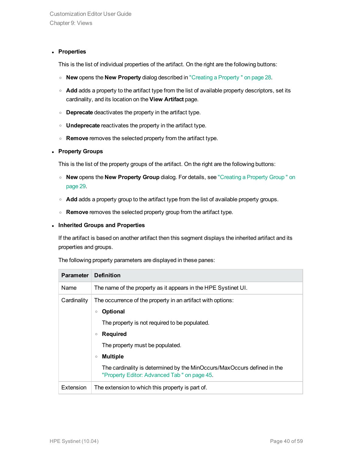#### **• Properties**

This is the list of individual properties of the artifact. On the right are the following buttons:

- <sup>o</sup> **New** opens the **New Property** dialog described in "Creating a [Property "](#page-27-1) on page 28.
- o **Add** adds a property to the artifact type from the list of available property descriptors, set its cardinality, and its location on the **View Artifact** page.
- <sup>o</sup> **Deprecate** deactivates the property in the artifact type.
- <sup>o</sup> **Undeprecate** reactivates the property in the artifact type.
- <sup>o</sup> **Remove** removes the selected property from the artifact type.

#### <sup>l</sup> **Property Groups**

This is the list of the property groups of the artifact. On the right are the following buttons:

- <sup>o</sup> **New** opens the **New Property Group** dialog. For details, see ["Creating](#page-28-1) a Property Group " on [page](#page-28-1) 29.
- $\circ$  **Add** adds a property group to the artifact type from the list of available property groups.
- <sup>o</sup> **Remove** removes the selected property group from the artifact type.

#### <sup>l</sup> **Inherited Groups and Properties**

If the artifact is based on another artifact then this segment displays the inherited artifact and its properties and groups.

The following property parameters are displayed in these panes:

| <b>Parameter</b> | <b>Definition</b>                                                                                                                                                                                                                                                                                                                                                   |
|------------------|---------------------------------------------------------------------------------------------------------------------------------------------------------------------------------------------------------------------------------------------------------------------------------------------------------------------------------------------------------------------|
| Name             | The name of the property as it appears in the HPE Systinet UI.                                                                                                                                                                                                                                                                                                      |
| Cardinality      | The occurrence of the property in an artifact with options:<br><b>Optional</b><br>$\circ$<br>The property is not required to be populated.<br><b>Required</b><br>$\circ$<br>The property must be populated.<br><b>Multiple</b><br>$\circ$<br>The cardinality is determined by the MinOccurs/MaxOccurs defined in the<br>"Property Editor: Advanced Tab" on page 45. |
| Extension        | The extension to which this property is part of.                                                                                                                                                                                                                                                                                                                    |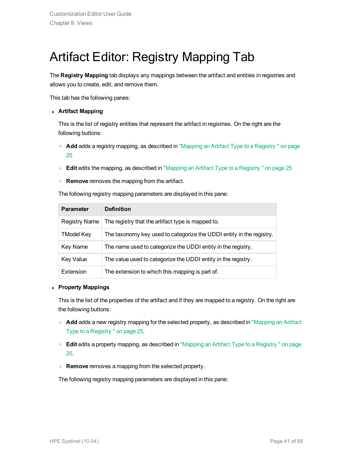## <span id="page-40-0"></span>Artifact Editor: Registry Mapping Tab

The **Registry Mapping** tab displays any mappings between the artifact and entities in registries and allows you to create, edit, and remove them.

This tab has the following panes:

#### <sup>l</sup> **Artifact Mapping**

This is the list of registry entities that represent the artifact in registries. On the right are the following buttons:

- <sup>o</sup> **Add** adds a registry mapping, as described in "Mapping an Artifact Type to a [Registry "](#page-24-0) on page [25](#page-24-0)
- <sup>o</sup> **Edit** edits the mapping, as described in "Mapping an Artifact Type to a [Registry "](#page-24-0) on page 25
- <sup>o</sup> **Remove** removes the mapping from the artifact.

The following registry mapping parameters are displayed in this pane:

| <b>Parameter</b>  | <b>Definition</b>                                                    |
|-------------------|----------------------------------------------------------------------|
| Registry Name     | The registry that the artifact type is mapped to.                    |
| <b>TModel Key</b> | The taxonomy key used to categorize the UDDI entity in the registry. |
| Key Name          | The name used to categorize the UDDI entity in the registry.         |
| <b>Key Value</b>  | The value used to categorize the UDDI entity in the registry.        |
| Extension         | The extension to which this mapping is part of.                      |

#### <sup>l</sup> **Property Mappings**

This is the list of the properties of the artifact and if they are mapped to a registry. On the right are the following buttons:

- **Add** adds a new registry mapping for the selected property, as described in ["Mapping](#page-24-0) an Artifact Type to a [Registry "](#page-24-0) on page 25.
- <sup>o</sup> **Edit** edits a property mapping, as described in "Mapping an Artifact Type to a [Registry "](#page-24-0) on page [25](#page-24-0).
- <sup>o</sup> **Remove** removes a mapping from the selected property.

The following registry mapping parameters are displayed in this pane: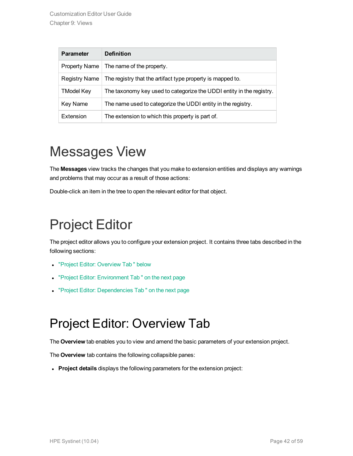| <b>Parameter</b>     | <b>Definition</b>                                                    |
|----------------------|----------------------------------------------------------------------|
| <b>Property Name</b> | The name of the property.                                            |
| <b>Registry Name</b> | The registry that the artifact type property is mapped to.           |
| <b>TModel Key</b>    | The taxonomy key used to categorize the UDDI entity in the registry. |
| Key Name             | The name used to categorize the UDDI entity in the registry.         |
| Extension            | The extension to which this property is part of.                     |

## <span id="page-41-0"></span>Messages View

The **Messages** view tracks the changes that you make to extension entities and displays any warnings and problems that may occur as a result of those actions:

<span id="page-41-1"></span>Double-click an item in the tree to open the relevant editor for that object.

## Project Editor

The project editor allows you to configure your extension project. It contains three tabs described in the following sections:

- "Project Editor: [Overview](#page-41-2) Tab " below
- "Project Editor: [Environment](#page-42-0) Tab" on the next page
- <span id="page-41-2"></span>• "Project Editor: [Dependencies](#page-42-1) Tab" on the next page

### Project Editor: Overview Tab

The **Overview** tab enables you to view and amend the basic parameters of your extension project.

The **Overview** tab contains the following collapsible panes:

**Project details** displays the following parameters for the extension project: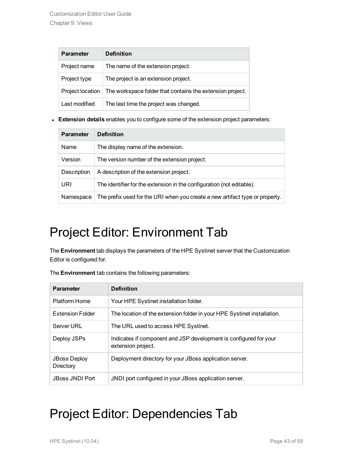| <b>Parameter</b> | <b>Definition</b>                                         |
|------------------|-----------------------------------------------------------|
| Project name     | The name of the extension project.                        |
| Project type     | The project is an extension project.                      |
| Project location | The workspace folder that contains the extension project. |
| Last modified    | The last time the project was changed.                    |

**Extension details** enables you to configure some of the extension project parameters:

| <b>Parameter</b> | <b>Definition</b>                                                            |
|------------------|------------------------------------------------------------------------------|
| Name             | The display name of the extension.                                           |
| Version          | The version number of the extension project.                                 |
| Description      | A description of the extension project.                                      |
| URI              | The identifier for the extension in the configuration (not editable).        |
| Namespace        | The prefix used for the URI when you create a new artifact type or property. |

## <span id="page-42-0"></span>Project Editor: Environment Tab

The **Environment** tab displays the parameters of the HPE Systinet server that the Customization Editor is configured for.

| <b>Parameter</b>                 | <b>Definition</b>                                                                       |
|----------------------------------|-----------------------------------------------------------------------------------------|
| Platform Home                    | Your HPE Systinet installation folder.                                                  |
| <b>Extension Folder</b>          | The location of the extension folder in your HPE Systinet installation.                 |
| Server URL                       | The URL used to access HPE Systinet.                                                    |
| Deploy JSPs                      | Indicates if component and JSP development is configured for your<br>extension project. |
| <b>JBoss Deploy</b><br>Directory | Deployment directory for your JBoss application server.                                 |
| JBoss JNDI Port                  | JNDI port configured in your JBoss application server.                                  |
|                                  |                                                                                         |

The **Environment** tab contains the following parameters:

### <span id="page-42-1"></span>Project Editor: Dependencies Tab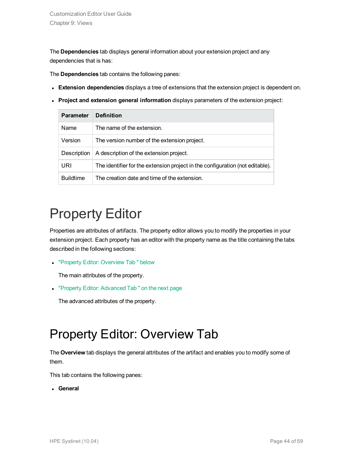The **Dependencies** tab displays general information about your extension project and any dependencies that is has:

The **Dependencies** tab contains the following panes:

- **Extension dependencies** displays a tree of extensions that the extension project is dependent on.
- <sup>l</sup> **Project and extension general information** displays parameters of the extension project:

| <b>Parameter</b> | <b>Definition</b>                                                             |
|------------------|-------------------------------------------------------------------------------|
| Name             | The name of the extension.                                                    |
| Version          | The version number of the extension project.                                  |
| Description      | A description of the extension project.                                       |
| URI              | The identifier for the extension project in the configuration (not editable). |
| <b>Buildtime</b> | The creation date and time of the extension.                                  |

## <span id="page-43-0"></span>Property Editor

Properties are attributes of artifacts. The property editor allows you to modify the properties in your extension project. Each property has an editor with the property name as the title containing the tabs described in the following sections:

• "Property Editor: [Overview](#page-43-1) Tab " below

The main attributes of the property.

• "Property Editor: [Advanced](#page-44-0) Tab" on the next page

<span id="page-43-1"></span>The advanced attributes of the property.

### Property Editor: Overview Tab

The **Overview** tab displays the general attributes of the artifact and enables you to modify some of them.

This tab contains the following panes:

**.** General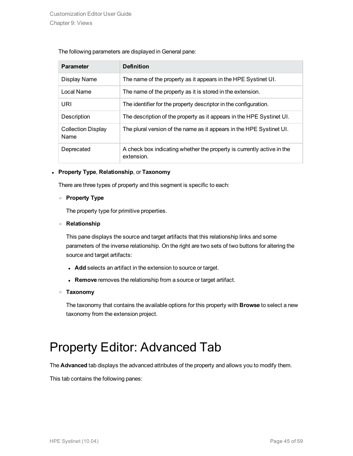#### The following parameters are displayed in General pane:

| <b>Parameter</b>                  | <b>Definition</b>                                                                    |
|-----------------------------------|--------------------------------------------------------------------------------------|
| Display Name                      | The name of the property as it appears in the HPE Systinet UI.                       |
| Local Name                        | The name of the property as it is stored in the extension.                           |
| URI                               | The identifier for the property descriptor in the configuration.                     |
| Description                       | The description of the property as it appears in the HPE Systinet UI.                |
| <b>Collection Display</b><br>Name | The plural version of the name as it appears in the HPE Systinet UI.                 |
| Deprecated                        | A check box indicating whether the property is currently active in the<br>extension. |

#### <sup>l</sup> **Property Type**, **Relationship**, or **Taxonomy**

There are three types of property and this segment is specific to each:

#### <sup>o</sup> **Property Type**

The property type for primitive properties.

#### <sup>o</sup> **Relationship**

This pane displays the source and target artifacts that this relationship links and some parameters of the inverse relationship. On the right are two sets of two buttons for altering the source and target artifacts:

- **Add** selects an artifact in the extension to source or target.
- **Remove** removes the relationship from a source or target artifact.

#### <sup>o</sup> **Taxonomy**

The taxonomy that contains the available options for this property with **Browse** to select a new taxonomy from the extension project.

### <span id="page-44-0"></span>Property Editor: Advanced Tab

The **Advanced** tab displays the advanced attributes of the property and allows you to modify them.

This tab contains the following panes: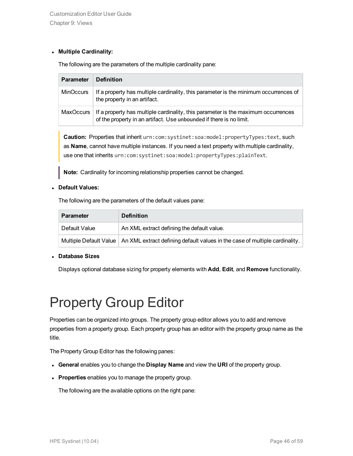#### <sup>l</sup> **Multiple Cardinality:**

The following are the parameters of the multiple cardinality pane:

| <b>Parameter</b> | <b>Definition</b>                                                                                                                                        |
|------------------|----------------------------------------------------------------------------------------------------------------------------------------------------------|
| <b>MinOccurs</b> | If a property has multiple cardinality, this parameter is the minimum occurrences of<br>the property in an artifact.                                     |
| MaxOccurs        | If a property has multiple cardinality, this parameter is the maximum occurrences<br>of the property in an artifact. Use unbounded if there is no limit. |

**Caution:** Properties that inherit urn:com:systinet:soa:model:propertyTypes:text, such as **Name**, cannot have multiple instances. If you need a text property with multiple cardinality, use one that inherits urn:com:systinet:soa:model:propertyTypes:plainText.

**Note:** Cardinality for incoming relationship properties cannot be changed.

#### <sup>l</sup> **Default Values:**

The following are the parameters of the default values pane:

| <b>Parameter</b> | <b>Definition</b>                                                                                         |
|------------------|-----------------------------------------------------------------------------------------------------------|
| Default Value    | An XML extract defining the default value.                                                                |
|                  | Multiple Default Value $\mid$ An XML extract defining default values in the case of multiple cardinality. |

#### <sup>l</sup> **Database Sizes**

<span id="page-45-0"></span>Displays optional database sizing for property elements with **Add**, **Edit**, and **Remove** functionality.

## Property Group Editor

Properties can be organized into groups. The property group editor allows you to add and remove properties from a property group. Each property group has an editor with the property group name as the title.

The Property Group Editor has the following panes:

- <sup>l</sup> **General** enables you to change the **Display Name** and view the **URI** of the property group.
- **Properties** enables you to manage the property group.

The following are the available options on the right pane: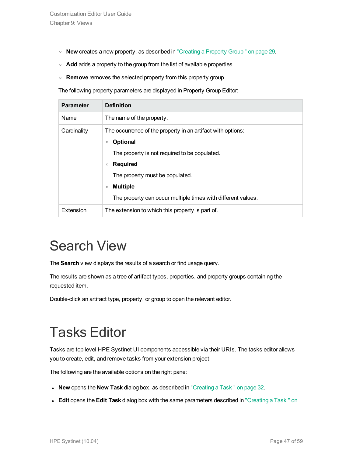- <sup>o</sup> **New** creates a new property, as described in ["Creating](#page-28-1) a Property Group " on page 29.
- **Add** adds a property to the group from the list of available properties.
- <sup>o</sup> **Remove** removes the selected property from this property group.

The following property parameters are displayed in Property Group Editor:

| <b>Parameter</b> | <b>Definition</b>                                                                                                                                                                                                                                                                                         |
|------------------|-----------------------------------------------------------------------------------------------------------------------------------------------------------------------------------------------------------------------------------------------------------------------------------------------------------|
| Name             | The name of the property.                                                                                                                                                                                                                                                                                 |
| Cardinality      | The occurrence of the property in an artifact with options:<br><b>Optional</b><br>$\circ$<br>The property is not required to be populated.<br><b>Required</b><br>$\circ$<br>The property must be populated.<br><b>Multiple</b><br>$\circ$<br>The property can occur multiple times with different values. |
| Extension        | The extension to which this property is part of.                                                                                                                                                                                                                                                          |

## <span id="page-46-0"></span>Search View

The **Search** view displays the results of a search or find usage query.

The results are shown as a tree of artifact types, properties, and property groups containing the requested item.

<span id="page-46-1"></span>Double-click an artifact type, property, or group to open the relevant editor.

## Tasks Editor

Tasks are top level HPE Systinet UI components accessible via their URIs. The tasks editor allows you to create, edit, and remove tasks from your extension project.

The following are the available options on the right pane:

- **New** opens the **New Task** dialog box, as described in ["Creating](#page-31-0) a Task " on page 32.
- **Edit** opens the Edit Task dialog box with the same parameters described in ["Creating](#page-31-0) a Task " on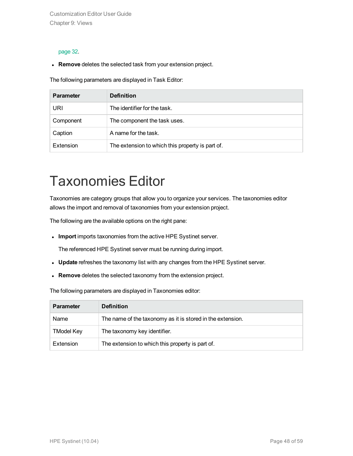Customization Editor User Guide Chapter 9: Views

#### [page](#page-31-0) 32.

**Remove** deletes the selected task from your extension project.

The following parameters are displayed in Task Editor:

| <b>Parameter</b> | <b>Definition</b>                                |
|------------------|--------------------------------------------------|
| URI              | The identifier for the task.                     |
| Component        | The component the task uses.                     |
| Caption          | A name for the task.                             |
| Extension        | The extension to which this property is part of. |

## <span id="page-47-0"></span>Taxonomies Editor

Taxonomies are category groups that allow you to organize your services. The taxonomies editor allows the import and removal of taxonomies from your extension project.

The following are the available options on the right pane:

<sup>l</sup> **Import** imports taxonomies from the active HPE Systinet server.

The referenced HPE Systinet server must be running during import.

- **Update** refreshes the taxonomy list with any changes from the HPE Systinet server.
- **Remove** deletes the selected taxonomy from the extension project.

The following parameters are displayed in Taxonomies editor:

| <b>Parameter</b>  | <b>Definition</b>                                          |
|-------------------|------------------------------------------------------------|
| Name              | The name of the taxonomy as it is stored in the extension. |
| <b>TModel Key</b> | The taxonomy key identifier.                               |
| Extension         | The extension to which this property is part of.           |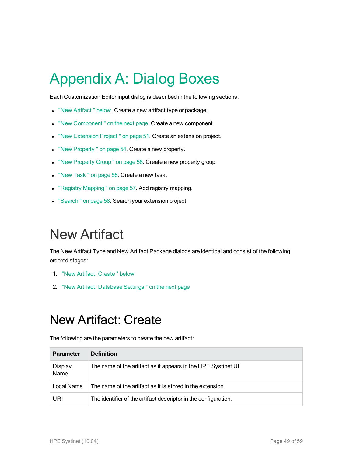# <span id="page-48-0"></span>Appendix A: Dialog Boxes

Each Customization Editor input dialog is described in the following sections:

- . "New Artifact" below. Create a new artifact type or package.
- . "New Component" on the next page. Create a new component.
- . "New [Extension](#page-50-0) Project" on page 51. Create an extension project.
- . "New [Property "](#page-53-0) on page 54. Create a new property.
- . "New [Property](#page-55-0) Group " on page 56. Create a new property group.
- . "New Task" on page 56. Create a new task.
- "Registry [Mapping "](#page-56-0) on page 57. Add registry mapping.
- <span id="page-48-1"></span>• ["Search "](#page-57-0) on page 58. Search your extension project.

## New Artifact

The New Artifact Type and New Artifact Package dialogs are identical and consist of the following ordered stages:

- 1. "New Artifact: [Create "](#page-48-2) below
- <span id="page-48-2"></span>2. "New Artifact: [Database](#page-49-0) Settings " on the next page

### New Artifact: Create

The following are the parameters to create the new artifact:

| <b>Parameter</b>       | <b>Definition</b>                                               |
|------------------------|-----------------------------------------------------------------|
| <b>Display</b><br>Name | The name of the artifact as it appears in the HPE Systinet UI.  |
| Local Name             | The name of the artifact as it is stored in the extension.      |
| URI                    | The identifier of the artifact descriptor in the configuration. |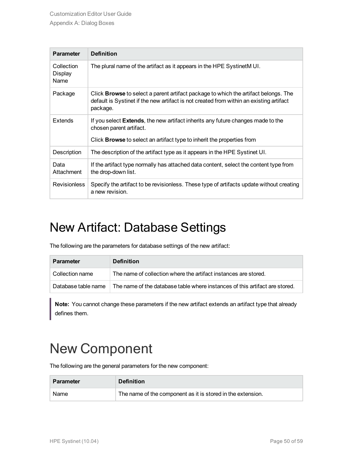| <b>Parameter</b>              | <b>Definition</b>                                                                                                                                                                                   |
|-------------------------------|-----------------------------------------------------------------------------------------------------------------------------------------------------------------------------------------------------|
| Collection<br>Display<br>Name | The plural name of the artifact as it appears in the HPE SystinetM UI.                                                                                                                              |
| Package                       | Click <b>Browse</b> to select a parent artifact package to which the artifact belongs. The<br>default is Systinet if the new artifact is not created from within an existing artifact<br>package.   |
| <b>Extends</b>                | If you select <b>Extends</b> , the new artifact inherits any future changes made to the<br>chosen parent artifact.<br>Click <b>Browse</b> to select an artifact type to inherit the properties from |
|                               |                                                                                                                                                                                                     |
| Description                   | The description of the artifact type as it appears in the HPE Systinet UI.                                                                                                                          |
| Data<br>Attachment            | If the artifact type normally has attached data content, select the content type from<br>the drop-down list.                                                                                        |
| <b>Revisionless</b>           | Specify the artifact to be revisionless. These type of artifacts update without creating<br>a new revision.                                                                                         |

### <span id="page-49-0"></span>New Artifact: Database Settings

The following are the parameters for database settings of the new artifact:

| <b>Parameter</b>    | <b>Definition</b>                                                           |
|---------------------|-----------------------------------------------------------------------------|
| Collection name     | The name of collection where the artifact instances are stored.             |
| Database table name | The name of the database table where instances of this artifact are stored. |

**Note:** You cannot change these parameters if the new artifact extends an artifact type that already defines them.

## <span id="page-49-1"></span>New Component

The following are the general parameters for the new component:

| <b>Parameter</b> | <b>Definition</b>                                           |
|------------------|-------------------------------------------------------------|
| Name             | The name of the component as it is stored in the extension. |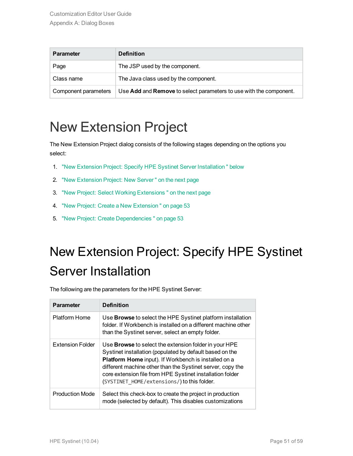| <b>Parameter</b>     | <b>Definition</b>                                                                |
|----------------------|----------------------------------------------------------------------------------|
| Page                 | The JSP used by the component.                                                   |
| Class name           | The Java class used by the component.                                            |
| Component parameters | Use <b>Add</b> and <b>Remove</b> to select parameters to use with the component. |

## <span id="page-50-0"></span>New Extension Project

The New Extension Project dialog consists of the following stages depending on the options you select:

- 1. "New Extension Project: Specify HPE Systinet Server [Installation "](#page-50-1) below
- 2. "New [Extension](#page-51-0) Project: New Server " on the next page
- 3. "New Project: Select Working [Extensions "](#page-51-1) on the next page
- 4. "New Project: Create a New [Extension "](#page-52-0) on page 53
- <span id="page-50-1"></span>5. "New Project: Create [Dependencies "](#page-52-1) on page 53

## New Extension Project: Specify HPE Systinet Server Installation

The following are the parameters for the HPE Systinet Server:

| <b>Parameter</b>        | <b>Definition</b>                                                                                                                                                                                                                                                                                                                                          |
|-------------------------|------------------------------------------------------------------------------------------------------------------------------------------------------------------------------------------------------------------------------------------------------------------------------------------------------------------------------------------------------------|
| <b>Platform Home</b>    | Use <b>Browse</b> to select the HPE Systinet platform installation<br>folder. If Workbench is installed on a different machine other<br>than the Systinet server, select an empty folder.                                                                                                                                                                  |
| <b>Extension Folder</b> | Use <b>Browse</b> to select the extension folder in your HPE<br>Systinet installation (populated by default based on the<br>Platform Home input). If Workbench is installed on a<br>different machine other than the Systinet server, copy the<br>core extension file from HPE Systinet installation folder<br>(SYSTINET HOME/extensions/) to this folder. |
| <b>Production Mode</b>  | Select this check-box to create the project in production<br>mode (selected by default). This disables customizations                                                                                                                                                                                                                                      |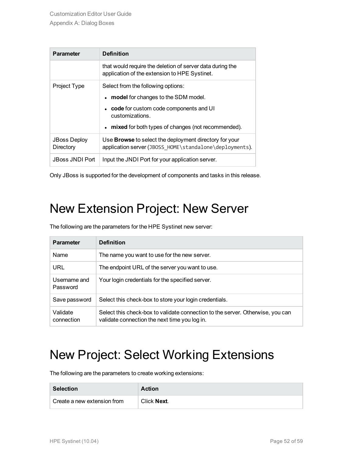| <b>Parameter</b>                 | <b>Definition</b>                                                                                                        |
|----------------------------------|--------------------------------------------------------------------------------------------------------------------------|
|                                  | that would require the deletion of server data during the<br>application of the extension to HPE Systinet.               |
| Project Type                     | Select from the following options:                                                                                       |
|                                  | • model for changes to the SDM model.                                                                                    |
|                                  | code for custom code components and UI<br>customizations.                                                                |
|                                  | • mixed for both types of changes (not recommended).                                                                     |
| <b>JBoss Deploy</b><br>Directory | Use <b>Browse</b> to select the deployment directory for your<br>application server (JBOSS_HOME\standalone\deployments). |
| <b>JBoss JNDI Port</b>           | Input the JNDI Port for your application server.                                                                         |

<span id="page-51-0"></span>Only JBoss is supported for the development of components and tasks in this release.

### New Extension Project: New Server

The following are the parameters for the HPE Systinet new server:

| <b>Parameter</b>         | <b>Definition</b>                                                                                                               |
|--------------------------|---------------------------------------------------------------------------------------------------------------------------------|
| <b>Name</b>              | The name you want to use for the new server.                                                                                    |
| URL                      | The endpoint URL of the server you want to use.                                                                                 |
| Username and<br>Password | Your login credentials for the specified server.                                                                                |
| Save password            | Select this check-box to store your login credentials.                                                                          |
| Validate<br>connection   | Select this check-box to validate connection to the server. Otherwise, you can<br>validate connection the next time you log in. |

### <span id="page-51-1"></span>New Project: Select Working Extensions

The following are the parameters to create working extensions:

| <b>Selection</b>            | Action      |
|-----------------------------|-------------|
| Create a new extension from | Click Next. |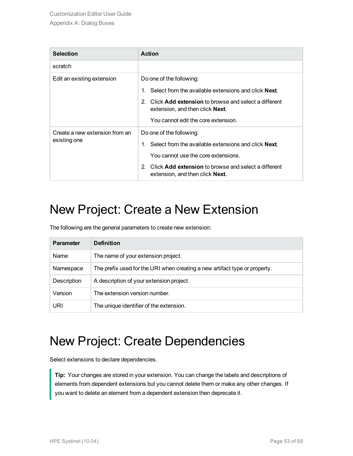| <b>Selection</b>                               | <b>Action</b>                                                                                                                                                                                                                                   |
|------------------------------------------------|-------------------------------------------------------------------------------------------------------------------------------------------------------------------------------------------------------------------------------------------------|
| scratch                                        |                                                                                                                                                                                                                                                 |
| Edit an existing extension                     | Do one of the following:<br>1. Select from the available extensions and click <b>Next</b> .<br>2. Click <b>Add extension</b> to browse and select a different<br>extension, and then click <b>Next</b> .<br>You cannot edit the core extension. |
| Create a new extension from an<br>existing one | Do one of the following:<br>1. Select from the available extensions and click <b>Next</b> .<br>You cannot use the core extensions.<br>2. Click Add extension to browse and select a different<br>extension, and then click <b>Next</b> .        |

### <span id="page-52-0"></span>New Project: Create a New Extension

The following are the general parameters to create new extension:

| <b>Parameter</b> | <b>Definition</b>                                                          |
|------------------|----------------------------------------------------------------------------|
| Name             | The name of your extension project.                                        |
| Namespace        | The prefix used for the URI when creating a new artifact type or property. |
| Description      | A description of your extension project.                                   |
| Version          | The extension version number.                                              |
| URI              | The unique identifier of the extension.                                    |

### <span id="page-52-1"></span>New Project: Create Dependencies

Select extensions to declare dependencies.

**Tip:** Your changes are stored in your extension. You can change the labels and descriptions of elements from dependent extensions but you cannot delete them or make any other changes. If you want to delete an element from a dependent extension then deprecate it.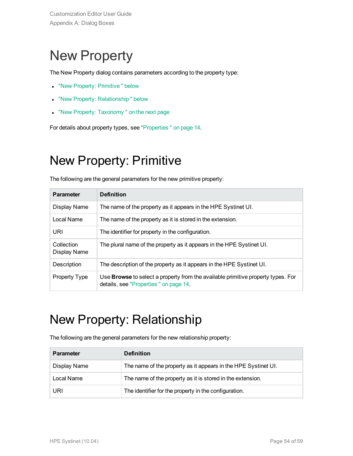## <span id="page-53-0"></span>New Property

The New Property dialog contains parameters according to the property type:

- "New Property: Primitive" below
- "New Property: Relationship" below
- "New Property: Taxonomy" on the next page

<span id="page-53-1"></span>For details about property types, see ["Properties "](#page-13-2) on page 14.

### New Property: Primitive

The following are the general parameters for the new primitive property:

| <b>Parameter</b>           | <b>Definition</b>                                                                                                         |
|----------------------------|---------------------------------------------------------------------------------------------------------------------------|
| Display Name               | The name of the property as it appears in the HPE Systinet UI.                                                            |
| Local Name                 | The name of the property as it is stored in the extension.                                                                |
| URI                        | The identifier for property in the configuration.                                                                         |
| Collection<br>Display Name | The plural name of the property as it appears in the HPE Systinet UI.                                                     |
| Description                | The description of the property as it appears in the HPE Systinet UI.                                                     |
| Property Type              | Use Browse to select a property from the available primitive property types. For<br>details, see "Properties" on page 14. |

### <span id="page-53-2"></span>New Property: Relationship

The following are the general parameters for the new relationship property:

| <b>Parameter</b> | <b>Definition</b>                                              |
|------------------|----------------------------------------------------------------|
| Display Name     | The name of the property as it appears in the HPE Systinet UI. |
| Local Name       | The name of the property as it is stored in the extension.     |
| URI              | The identifier for the property in the configuration.          |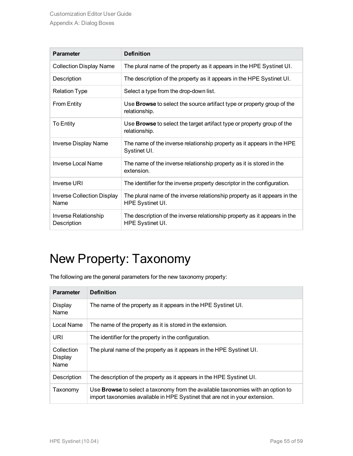| <b>Parameter</b>                          | <b>Definition</b>                                                                              |
|-------------------------------------------|------------------------------------------------------------------------------------------------|
| <b>Collection Display Name</b>            | The plural name of the property as it appears in the HPE Systinet UI.                          |
| Description                               | The description of the property as it appears in the HPE Systinet UI.                          |
| <b>Relation Type</b>                      | Select a type from the drop-down list.                                                         |
| <b>From Entity</b>                        | Use Browse to select the source artifact type or property group of the<br>relationship.        |
| To Entity                                 | Use <b>Browse</b> to select the target artifact type or property group of the<br>relationship. |
| <b>Inverse Display Name</b>               | The name of the inverse relationship property as it appears in the HPE<br>Systinet UI.         |
| <b>Inverse Local Name</b>                 | The name of the inverse relationship property as it is stored in the<br>extension.             |
| Inverse URI                               | The identifier for the inverse property descriptor in the configuration.                       |
| <b>Inverse Collection Display</b><br>Name | The plural name of the inverse relationship property as it appears in the<br>HPE Systinet UI.  |
| Inverse Relationship<br>Description       | The description of the inverse relationship property as it appears in the<br>HPE Systinet UI.  |

## <span id="page-54-0"></span>New Property: Taxonomy

The following are the general parameters for the new taxonomy property:

| <b>Parameter</b>              | <b>Definition</b>                                                                                                                                                     |
|-------------------------------|-----------------------------------------------------------------------------------------------------------------------------------------------------------------------|
| Display<br>Name               | The name of the property as it appears in the HPE Systinet UI.                                                                                                        |
| Local Name                    | The name of the property as it is stored in the extension.                                                                                                            |
| URI                           | The identifier for the property in the configuration.                                                                                                                 |
| Collection<br>Display<br>Name | The plural name of the property as it appears in the HPE Systinet UI.                                                                                                 |
| Description                   | The description of the property as it appears in the HPE Systinet UI.                                                                                                 |
| Taxonomy                      | Use <b>Browse</b> to select a taxonomy from the available taxonomies with an option to<br>import taxonomies available in HPE Systinet that are not in your extension. |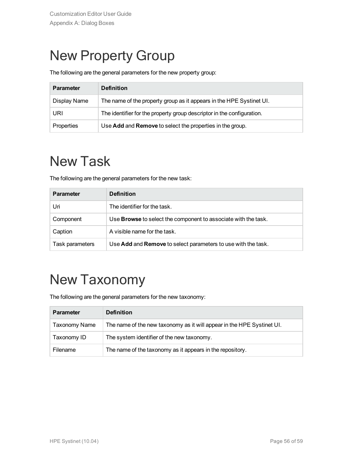## <span id="page-55-0"></span>New Property Group

The following are the general parameters for the new property group:

| <b>Parameter</b> | <b>Definition</b>                                                      |
|------------------|------------------------------------------------------------------------|
| Display Name     | The name of the property group as it appears in the HPE Systinet UI.   |
| URI              | The identifier for the property group descriptor in the configuration. |
| Properties       | Use Add and Remove to select the properties in the group.              |

## <span id="page-55-1"></span>New Task

The following are the general parameters for the new task:

| <b>Parameter</b> | <b>Definition</b>                                                     |
|------------------|-----------------------------------------------------------------------|
| Uri              | The identifier for the task.                                          |
| Component        | Use <b>Browse</b> to select the component to associate with the task. |
| Caption          | A visible name for the task.                                          |
| Task parameters  | Use Add and Remove to select parameters to use with the task.         |

## <span id="page-55-2"></span>New Taxonomy

The following are the general parameters for the new taxonomy:

| <b>Parameter</b> | <b>Definition</b>                                                      |
|------------------|------------------------------------------------------------------------|
| Taxonomy Name    | The name of the new taxonomy as it will appear in the HPE Systinet UI. |
| Taxonomy ID      | The system identifier of the new taxonomy.                             |
| Filename         | The name of the taxonomy as it appears in the repository.              |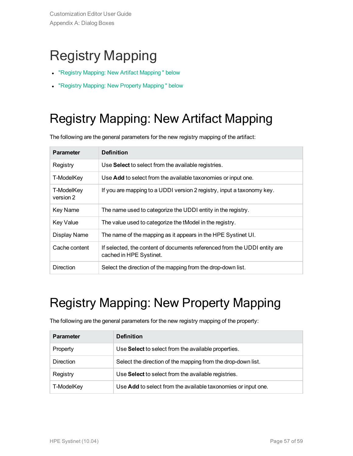## <span id="page-56-0"></span>Registry Mapping

- "Registry Mapping: New Artifact [Mapping "](#page-56-1) below
- <span id="page-56-1"></span>• "Registry Mapping: New Property [Mapping "](#page-56-2) below

## Registry Mapping: New Artifact Mapping

The following are the general parameters for the new registry mapping of the artifact:

| <b>Parameter</b>        | <b>Definition</b>                                                                                    |
|-------------------------|------------------------------------------------------------------------------------------------------|
| Registry                | Use Select to select from the available registries.                                                  |
| T-ModelKey              | Use Add to select from the available taxonomies or input one.                                        |
| T-ModelKey<br>version 2 | If you are mapping to a UDDI version 2 registry, input a taxonomy key.                               |
| Key Name                | The name used to categorize the UDDI entity in the registry.                                         |
| <b>Key Value</b>        | The value used to categorize the tModel in the registry.                                             |
| Display Name            | The name of the mapping as it appears in the HPE Systinet UI.                                        |
| Cache content           | If selected, the content of documents referenced from the UDDI entity are<br>cached in HPE Systinet. |
| <b>Direction</b>        | Select the direction of the mapping from the drop-down list.                                         |

## <span id="page-56-2"></span>Registry Mapping: New Property Mapping

The following are the general parameters for the new registry mapping of the property:

| <b>Parameter</b> | <b>Definition</b>                                             |
|------------------|---------------------------------------------------------------|
| Property         | Use Select to select from the available properties.           |
| Direction        | Select the direction of the mapping from the drop-down list.  |
| Registry         | Use Select to select from the available registries.           |
| T-ModelKey       | Use Add to select from the available taxonomies or input one. |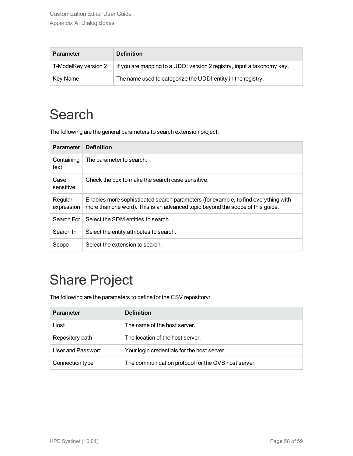| <b>Parameter</b>     | <b>Definition</b>                                                      |
|----------------------|------------------------------------------------------------------------|
| T-ModelKey version 2 | If you are mapping to a UDDI version 2 registry, input a taxonomy key. |
| Key Name             | The name used to categorize the UDDI entity in the registry.           |

## <span id="page-57-0"></span>**Search**

The following are the general parameters to search extension project:

| <b>Parameter</b>      | <b>Definition</b>                                                                                                                                                    |
|-----------------------|----------------------------------------------------------------------------------------------------------------------------------------------------------------------|
| Containing<br>text    | The parameter to search.                                                                                                                                             |
| Case<br>sensitive     | Check the box to make the search case sensitive.                                                                                                                     |
| Regular<br>expression | Enables more sophisticated search parameters (for example, to find everything with<br>more than one word). This is an advanced topic beyond the scope of this guide. |
| Search For            | Select the SDM entities to search.                                                                                                                                   |
| Search In             | Select the entity attributes to search.                                                                                                                              |
| Scope                 | Select the extension to search.                                                                                                                                      |

## <span id="page-57-1"></span>Share Project

The following are the parameters to define for the CSV repository:

| <b>Parameter</b>  | <b>Definition</b>                                   |
|-------------------|-----------------------------------------------------|
| Host              | The name of the host server.                        |
| Repository path   | The location of the host server.                    |
| User and Password | Your login credentials for the host server.         |
| Connection type   | The communication protocol for the CVS host server. |